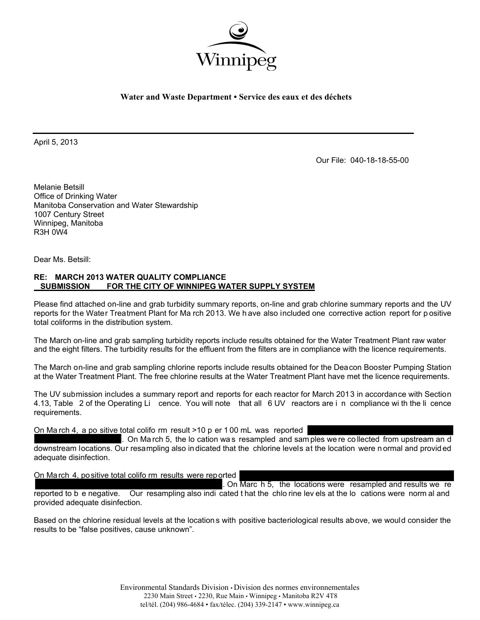

**Water and Waste Department • Service des eaux et des déchets** 

April 5, 2013

Our File: 040-18-18-55-00

Melanie Betsill Office of Drinking Water Manitoba Conservation and Water Stewardship 1007 Century Street Winnipeg, Manitoba R3H 0W4

Dear Ms. Betsill:

## **RE: MARCH 2013 WATER QUALITY COMPLIANCE FOR THE CITY OF WINNIPEG WATER SUPPLY SYSTEM**

Please find attached on-line and grab turbidity summary reports, on-line and grab chlorine summary reports and the UV reports for the Water Treatment Plant for Ma rch 2013. We h ave also included one corrective action report for p ositive total coliforms in the distribution system.

The March on-line and grab sampling turbidity reports include results obtained for the Water Treatment Plant raw water and the eight filters. The turbidity results for the effluent from the filters are in compliance with the licence requirements.

The March on-line and grab sampling chlorine reports include results obtained for the Deacon Booster Pumping Station at the Water Treatment Plant. The free chlorine results at the Water Treatment Plant have met the licence requirements.

The UV submission includes a summary report and reports for each reactor for March 2013 in accordance with Section 4.13, Table 2 of the Operating Li cence. You will note that all 6 UV reactors are i n compliance wi th the li cence requirements.

On Ma rch 4, a po sitive total colifo rm result >10 p er 1 00 mL was reported

. On Ma rch 5, the lo cation wa s resampled and sam ples we re co llected from upstream an d downstream locations. Our resampling also in dicated that the chlorine levels at the location were n ormal and provid ed adequate disinfection.

On March 4, positive total colifo rm results were reported

. On Marc h 5, the locations were resampled and results we re reported to b e negative. Our resampling also indi cated t hat the chlo rine lev els at the lo cations were norm al and provided adequate disinfection.

Based on the chlorine residual levels at the location s with positive bacteriological results above, we would consider the results to be "false positives, cause unknown".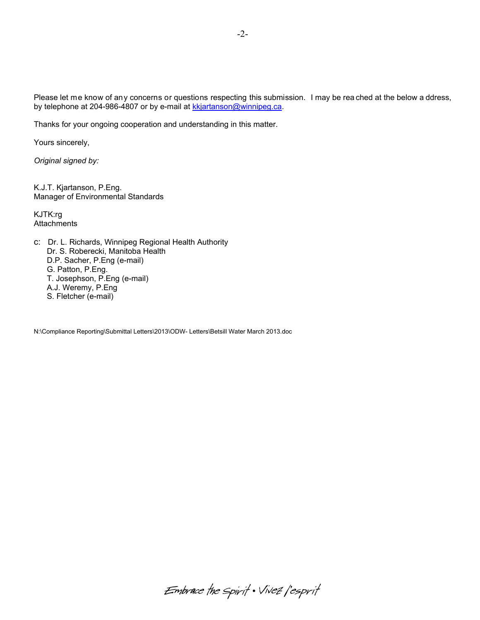Please let me know of any concerns or questions respecting this submission. I may be rea ched at the below a ddress, by telephone at 204-986-4807 or by e-mail at kkjartanson@winnipeg.ca.

Thanks for your ongoing cooperation and understanding in this matter.

Yours sincerely,

*Original signed by:* 

K.J.T. Kjartanson, P.Eng. Manager of Environmental Standards

KJTK:rg **Attachments** 

c: Dr. L. Richards, Winnipeg Regional Health Authority Dr. S. Roberecki, Manitoba Health D.P. Sacher, P.Eng (e-mail) G. Patton, P.Eng. T. Josephson, P.Eng (e-mail) A.J. Weremy, P.Eng S. Fletcher (e-mail)

N:\Compliance Reporting\Submittal Letters\2013\ODW- Letters\Betsill Water March 2013.doc

Embrace the spirit . Vivez l'esprit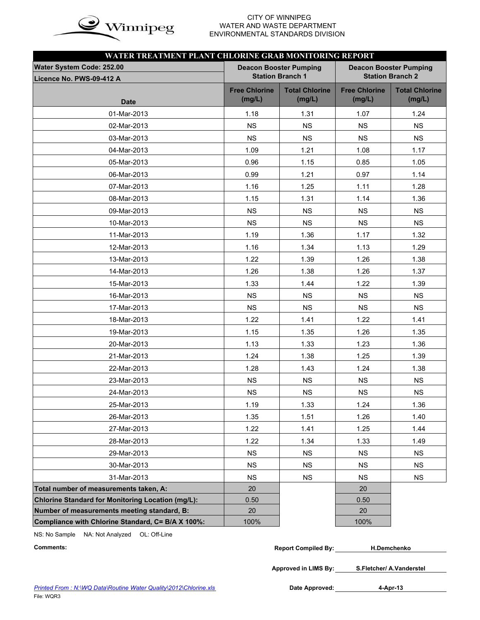

# WATER AND WASTE DEPARTMENT ENVIRONMENTAL STANDARDS DIVISION

| WATER TREATMENT PLANT CHLORINE GRAB MONITORING REPORT    |                                |                                                          |                                |                                 |
|----------------------------------------------------------|--------------------------------|----------------------------------------------------------|--------------------------------|---------------------------------|
| Water System Code: 252.00<br>Licence No. PWS-09-412 A    |                                | <b>Deacon Booster Pumping</b><br><b>Station Branch 1</b> | <b>Deacon Booster Pumping</b>  | <b>Station Branch 2</b>         |
| <b>Date</b>                                              | <b>Free Chlorine</b><br>(mg/L) | <b>Total Chlorine</b><br>(mg/L)                          | <b>Free Chlorine</b><br>(mg/L) | <b>Total Chlorine</b><br>(mg/L) |
| 01-Mar-2013                                              | 1.18                           | 1.31                                                     | 1.07                           | 1.24                            |
| 02-Mar-2013                                              | <b>NS</b>                      | <b>NS</b>                                                | <b>NS</b>                      | <b>NS</b>                       |
| 03-Mar-2013                                              | <b>NS</b>                      | <b>NS</b>                                                | <b>NS</b>                      | <b>NS</b>                       |
| 04-Mar-2013                                              | 1.09                           | 1.21                                                     | 1.08                           | 1.17                            |
| 05-Mar-2013                                              | 0.96                           | 1.15                                                     | 0.85                           | 1.05                            |
| 06-Mar-2013                                              | 0.99                           | 1.21                                                     | 0.97                           | 1.14                            |
| 07-Mar-2013                                              | 1.16                           | 1.25                                                     | 1.11                           | 1.28                            |
| 08-Mar-2013                                              | 1.15                           | 1.31                                                     | 1.14                           | 1.36                            |
| 09-Mar-2013                                              | <b>NS</b>                      | <b>NS</b>                                                | <b>NS</b>                      | <b>NS</b>                       |
| 10-Mar-2013                                              | <b>NS</b>                      | <b>NS</b>                                                | <b>NS</b>                      | <b>NS</b>                       |
| 11-Mar-2013                                              | 1.19                           | 1.36                                                     | 1.17                           | 1.32                            |
| 12-Mar-2013                                              | 1.16                           | 1.34                                                     | 1.13                           | 1.29                            |
| 13-Mar-2013                                              | 1.22                           | 1.39                                                     | 1.26                           | 1.38                            |
| 14-Mar-2013                                              | 1.26                           | 1.38                                                     | 1.26                           | 1.37                            |
| 15-Mar-2013                                              | 1.33                           | 1.44                                                     | 1.22                           | 1.39                            |
| 16-Mar-2013                                              | <b>NS</b>                      | <b>NS</b>                                                | <b>NS</b>                      | <b>NS</b>                       |
| 17-Mar-2013                                              | <b>NS</b>                      | <b>NS</b>                                                | <b>NS</b>                      | <b>NS</b>                       |
| 18-Mar-2013                                              | 1.22                           | 1.41                                                     | 1.22                           | 1.41                            |
| 19-Mar-2013                                              | 1.15                           | 1.35                                                     | 1.26                           | 1.35                            |
| 20-Mar-2013                                              | 1.13                           | 1.33                                                     | 1.23                           | 1.36                            |
| 21-Mar-2013                                              | 1.24                           | 1.38                                                     | 1.25                           | 1.39                            |
| 22-Mar-2013                                              | 1.28                           | 1.43                                                     | 1.24                           | 1.38                            |
| 23-Mar-2013                                              | NS                             | <b>NS</b>                                                | <b>NS</b>                      | <b>NS</b>                       |
| 24-Mar-2013                                              | NS                             | NS                                                       | NS                             | <b>NS</b>                       |
| 25-Mar-2013                                              | 1.19                           | 1.33                                                     | 1.24                           | 1.36                            |
| 26-Mar-2013                                              | 1.35                           | 1.51                                                     | 1.26                           | 1.40                            |
| 27-Mar-2013                                              | 1.22                           | 1.41                                                     | 1.25                           | 1.44                            |
| 28-Mar-2013                                              | 1.22                           | 1.34                                                     | 1.33                           | 1.49                            |
| 29-Mar-2013                                              | <b>NS</b>                      | <b>NS</b>                                                | <b>NS</b>                      | <b>NS</b>                       |
| 30-Mar-2013                                              | <b>NS</b>                      | <b>NS</b>                                                | <b>NS</b>                      | <b>NS</b>                       |
| 31-Mar-2013                                              | <b>NS</b>                      | <b>NS</b>                                                | <b>NS</b>                      | <b>NS</b>                       |
| Total number of measurements taken, A:                   | 20                             |                                                          | 20                             |                                 |
| <b>Chlorine Standard for Monitoring Location (mg/L):</b> | 0.50                           |                                                          | 0.50                           |                                 |
| Number of measurements meeting standard, B:              | 20                             |                                                          | 20                             |                                 |
| Compliance with Chlorine Standard, C= B/A X 100%:        | 100%                           |                                                          | 100%                           |                                 |

NS: No Sample NA: Not Analyzed OL: Off-Line

| Comments: | <b>Report Compiled By:</b> | <b>H.Demchenko</b> |  |
|-----------|----------------------------|--------------------|--|
|-----------|----------------------------|--------------------|--|

**Approved in LIMS By: S.Fletcher/ A.Vanderstel**

Date Approved: 4-Apr-13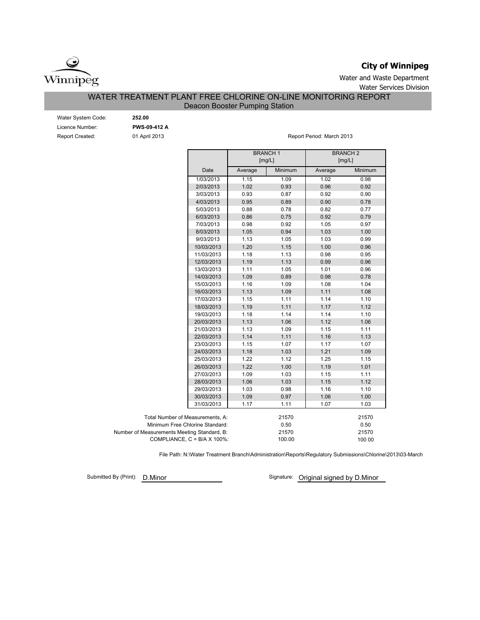

## **City of Winnipeg**

Water and Waste Department Water Services Division

## WATER TREATMENT PLANT FREE CHLORINE ON-LINE MONITORING REPORT

## Deacon Booster Pumping Station

| Water System Code: |
|--------------------|
| Licence Number:    |
| Report Created:    |

**PWS-09-412 A** 01 April 2013 Water System Code: **252.00**

Report Period: March 2013

|                                             |            |         | <b>BRANCH1</b><br>[mg/L] | <b>BRANCH2</b><br>[mg/L] |         |
|---------------------------------------------|------------|---------|--------------------------|--------------------------|---------|
|                                             | Date       | Average | Minimum                  | Average                  | Minimum |
|                                             | 1/03/2013  | 1.15    | 1.09                     | 1.02                     | 0.98    |
|                                             | 2/03/2013  | 1.02    | 0.93                     | 0.96                     | 0.92    |
|                                             | 3/03/2013  | 0.93    | 0.87                     | 0.92                     | 0.90    |
|                                             | 4/03/2013  | 0.95    | 0.89                     | 0.90                     | 0.78    |
|                                             | 5/03/2013  | 0.88    | 0.78                     | 0.82                     | 0.77    |
|                                             | 6/03/2013  | 0.86    | 0.75                     | 0.92                     | 0.79    |
|                                             | 7/03/2013  | 0.98    | 0.92                     | 1.05                     | 0.97    |
|                                             | 8/03/2013  | 1.05    | 0.94                     | 1.03                     | 1.00    |
|                                             | 9/03/2013  | 1.13    | 1.05                     | 1.03                     | 0.99    |
|                                             | 10/03/2013 | 1.20    | 1.15                     | 1.00                     | 0.96    |
|                                             | 11/03/2013 | 1.18    | 1.13                     | 0.98                     | 0.95    |
|                                             | 12/03/2013 | 1.19    | 1.13                     | 0.99                     | 0.96    |
|                                             | 13/03/2013 | 1.11    | 1.05                     | 1.01                     | 0.96    |
|                                             | 14/03/2013 | 1.09    | 0.89                     | 0.98                     | 0.78    |
|                                             | 15/03/2013 | 1.16    | 1.09                     | 1.08                     | 1.04    |
|                                             | 16/03/2013 | 1.13    | 1.09                     | 1.11                     | 1.08    |
|                                             | 17/03/2013 | 1.15    | 1.11                     | 1.14                     | 1.10    |
|                                             | 18/03/2013 | 1.19    | 1.11                     | 1.17                     | 1.12    |
|                                             | 19/03/2013 | 1.18    | 1.14                     | 1.14                     | 1.10    |
|                                             | 20/03/2013 | 1.13    | 1.06                     | 1.12                     | 1.06    |
|                                             | 21/03/2013 | 1.13    | 1.09                     | 1.15                     | 1.11    |
|                                             | 22/03/2013 | 1.14    | 1.11                     | 1.16                     | 1.13    |
|                                             | 23/03/2013 | 1.15    | 1.07                     | 1.17                     | 1.07    |
|                                             | 24/03/2013 | 1.18    | 1.03                     | 1.21                     | 1.09    |
|                                             | 25/03/2013 | 1.22    | 1.12                     | 1.25                     | 1.15    |
|                                             | 26/03/2013 | 1.22    | 1.00                     | 1.19                     | 1.01    |
|                                             | 27/03/2013 | 1.09    | 1.03                     | 1.15                     | 1.11    |
|                                             | 28/03/2013 | 1.06    | 1.03                     | 1.15                     | 1.12    |
|                                             | 29/03/2013 | 1.03    | 0.98                     | 1.16                     | 1.10    |
|                                             | 30/03/2013 | 1.09    | 0.97                     | 1.06                     | 1.00    |
|                                             | 31/03/2013 | 1.17    | 1.11                     | 1.07                     | 1.03    |
| Total Number of Measurements, A:            |            |         | 21570                    |                          | 21570   |
| Minimum Free Chlorine Standard:             |            |         | 0.50                     |                          | 0.50    |
| Number of Measurements Meeting Standard, B: |            |         | 21570                    |                          | 21570   |
| COMPLIANCE, $C = B/A \times 100\%$ :        |            |         | 100.00                   |                          | 100 00  |

File Path: N:\Water Treatment Branch\Administration\Reports\Regulatory Submissions\Chlorine\2013\03-March

Submitted By (Print): D. Minor

Signature: Original signed by D.Minor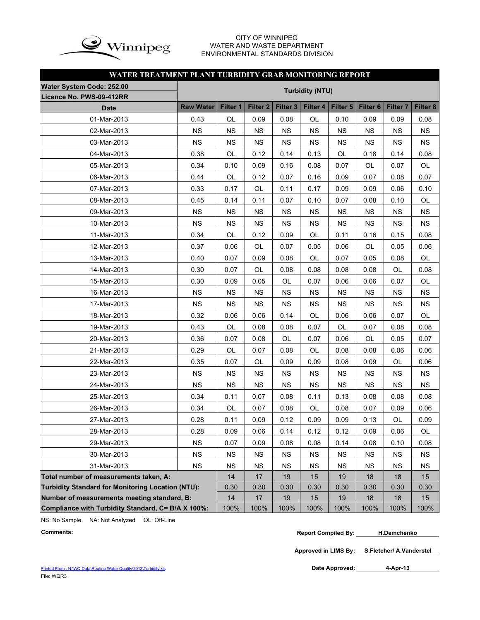

### CITY OF WINNIPEG WATER AND WASTE DEPARTMENT ENVIRONMENTAL STANDARDS DIVISION

## **WATER TREATMENT PLANT TURBIDITY GRAB MONITORING REPORT**

| Water System Code: 252.00                                |                  |           |                 |                     | <b>Turbidity (NTU)</b> |           |                 |                     |           |
|----------------------------------------------------------|------------------|-----------|-----------------|---------------------|------------------------|-----------|-----------------|---------------------|-----------|
| Licence No. PWS-09-412RR                                 |                  |           |                 |                     |                        |           |                 |                     |           |
| <b>Date</b>                                              | <b>Raw Water</b> | Filter 1  | <b>Filter 2</b> | Filter <sub>3</sub> | Filter 4               | Filter 5  | <b>Filter 6</b> | Filter <sub>7</sub> | Filter 8  |
| 01-Mar-2013                                              | 0.43             | OL        | 0.09            | 0.08                | OL                     | 0.10      | 0.09            | 0.09                | 0.08      |
| 02-Mar-2013                                              | <b>NS</b>        | <b>NS</b> | <b>NS</b>       | <b>NS</b>           | <b>NS</b>              | <b>NS</b> | <b>NS</b>       | <b>NS</b>           | <b>NS</b> |
| 03-Mar-2013                                              | <b>NS</b>        | <b>NS</b> | <b>NS</b>       | <b>NS</b>           | <b>NS</b>              | <b>NS</b> | <b>NS</b>       | <b>NS</b>           | <b>NS</b> |
| 04-Mar-2013                                              | 0.38             | OL        | 0.12            | 0.14                | 0.13                   | OL        | 0.18            | 0.14                | 0.08      |
| 05-Mar-2013                                              | 0.34             | 0.10      | 0.09            | 0.16                | 0.08                   | 0.07      | OL              | 0.07                | OL        |
| 06-Mar-2013                                              | 0.44             | OL        | 0.12            | 0.07                | 0.16                   | 0.09      | 0.07            | 0.08                | 0.07      |
| 07-Mar-2013                                              | 0.33             | 0.17      | OL              | 0.11                | 0.17                   | 0.09      | 0.09            | 0.06                | 0.10      |
| 08-Mar-2013                                              | 0.45             | 0.14      | 0.11            | 0.07                | 0.10                   | 0.07      | 0.08            | 0.10                | OL        |
| 09-Mar-2013                                              | <b>NS</b>        | <b>NS</b> | <b>NS</b>       | <b>NS</b>           | <b>NS</b>              | <b>NS</b> | <b>NS</b>       | <b>NS</b>           | <b>NS</b> |
| 10-Mar-2013                                              | <b>NS</b>        | <b>NS</b> | <b>NS</b>       | <b>NS</b>           | <b>NS</b>              | <b>NS</b> | <b>NS</b>       | <b>NS</b>           | <b>NS</b> |
| 11-Mar-2013                                              | 0.34             | OL        | 0.12            | 0.09                | OL                     | 0.11      | 0.16            | 0.15                | 0.08      |
| 12-Mar-2013                                              | 0.37             | 0.06      | OL              | 0.07                | 0.05                   | 0.06      | OL              | 0.05                | 0.06      |
| 13-Mar-2013                                              | 0.40             | 0.07      | 0.09            | 0.08                | OL                     | 0.07      | 0.05            | 0.08                | OL        |
| 14-Mar-2013                                              | 0.30             | 0.07      | OL              | 0.08                | 0.08                   | 0.08      | 0.08            | OL                  | 0.08      |
| 15-Mar-2013                                              | 0.30             | 0.09      | 0.05            | OL                  | 0.07                   | 0.06      | 0.06            | 0.07                | OL        |
| 16-Mar-2013                                              | <b>NS</b>        | <b>NS</b> | <b>NS</b>       | <b>NS</b>           | <b>NS</b>              | <b>NS</b> | <b>NS</b>       | <b>NS</b>           | <b>NS</b> |
| 17-Mar-2013                                              | <b>NS</b>        | <b>NS</b> | <b>NS</b>       | <b>NS</b>           | <b>NS</b>              | <b>NS</b> | <b>NS</b>       | <b>NS</b>           | <b>NS</b> |
| 18-Mar-2013                                              | 0.32             | 0.06      | 0.06            | 0.14                | OL                     | 0.06      | 0.06            | 0.07                | OL        |
| 19-Mar-2013                                              | 0.43             | OL        | 0.08            | 0.08                | 0.07                   | <b>OL</b> | 0.07            | 0.08                | 0.08      |
| 20-Mar-2013                                              | 0.36             | 0.07      | 0.08            | OL                  | 0.07                   | 0.06      | OL              | 0.05                | 0.07      |
| 21-Mar-2013                                              | 0.29             | OL        | 0.07            | 0.08                | OL                     | 0.08      | 0.08            | 0.06                | 0.06      |
| 22-Mar-2013                                              | 0.35             | 0.07      | OL              | 0.09                | 0.09                   | 0.08      | 0.09            | OL                  | 0.06      |
| 23-Mar-2013                                              | <b>NS</b>        | <b>NS</b> | <b>NS</b>       | <b>NS</b>           | <b>NS</b>              | <b>NS</b> | <b>NS</b>       | <b>NS</b>           | <b>NS</b> |
| 24-Mar-2013                                              | <b>NS</b>        | <b>NS</b> | <b>NS</b>       | <b>NS</b>           | <b>NS</b>              | <b>NS</b> | <b>NS</b>       | <b>NS</b>           | <b>NS</b> |
| 25-Mar-2013                                              | 0.34             | 0.11      | 0.07            | 0.08                | 0.11                   | 0.13      | 0.08            | 0.08                | 0.08      |
| 26-Mar-2013                                              | 0.34             | OL        | 0.07            | 0.08                | OL                     | 0.08      | 0.07            | 0.09                | 0.06      |
| 27-Mar-2013                                              | 0.28             | 0.11      | 0.09            | 0.12                | 0.09                   | 0.09      | 0.13            | OL                  | 0.09      |
| 28-Mar-2013                                              | 0.28             | 0.09      | 0.06            | 0.14                | 0.12                   | 0.12      | 0.09            | 0.06                | OL        |
| 29-Mar-2013                                              | <b>NS</b>        | 0.07      | 0.09            | 0.08                | 0.08                   | 0.14      | 0.08            | 0.10                | 0.08      |
| 30-Mar-2013                                              | <b>NS</b>        | <b>NS</b> | <b>NS</b>       | <b>NS</b>           | <b>NS</b>              | <b>NS</b> | <b>NS</b>       | <b>NS</b>           | <b>NS</b> |
| 31-Mar-2013                                              | <b>NS</b>        | <b>NS</b> | <b>NS</b>       | <b>NS</b>           | <b>NS</b>              | <b>NS</b> | <b>NS</b>       | <b>NS</b>           | <b>NS</b> |
| Total number of measurements taken, A:                   |                  | 14        | 17              | 19                  | 15                     | 19        | 18              | 18                  | 15        |
| <b>Turbidity Standard for Monitoring Location (NTU):</b> |                  | 0.30      | 0.30            | 0.30                | 0.30                   | 0.30      | 0.30            | 0.30                | 0.30      |
| Number of measurements meeting standard, B:              |                  | 14        | 17              | 19                  | 15                     | 19        | 18              | 18                  | 15        |
| Compliance with Turbidity Standard, C= B/A X 100%:       |                  | 100%      | 100%            | 100%                | 100%                   | 100%      | 100%            | 100%                | 100%      |

NS: No Sample NA: Not Analyzed OL: Off-Line

```
Comments: Report Compiled By:
H.Demchenko
```
**Approved in LIMS By: S.Fletcher/ A.Vanderstel**

Date Approved: 4-Apr-13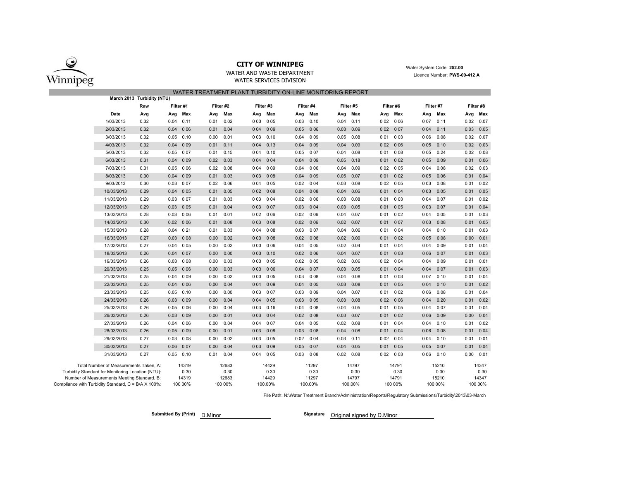

WATER AND WASTE DEPARTMENTWATER SERVICES DIVISION

 Water System Code: **252.00** Licence Number: **PWS-09-412 A**

|                                                     |                                                   |                            |             |           |      |           |       |           | WATER TREATMENT PLANT TURBIDITY ON-LINE MONITORING REPORT |           |      |             |       |           |       |           |      |           |
|-----------------------------------------------------|---------------------------------------------------|----------------------------|-------------|-----------|------|-----------|-------|-----------|-----------------------------------------------------------|-----------|------|-------------|-------|-----------|-------|-----------|------|-----------|
|                                                     |                                                   | March 2013 Turbidity (NTU) |             |           |      |           |       |           |                                                           |           |      |             |       |           |       |           |      |           |
|                                                     |                                                   | Raw                        | Filter #1   |           |      | Filter #2 |       | Filter #3 |                                                           | Filter #4 |      | Filter #5   |       | Filter #6 |       | Filter #7 |      | Filter #8 |
|                                                     | Date                                              | Avg                        | Avg         | Max       | Avg  | Max       | Avg   | Max       | Avg                                                       | Max       | Avg  | Max         | Avg   | Max       | Avg   | Max       | Avg  | Max       |
|                                                     | 1/03/2013                                         | 0.32                       | 0.04        | 0.11      | 0.01 | 0.02      | 003   | 005       | 0.03                                                      | 0.10      | 0.04 | 0.11        | 002   | 0 0 6     | 007   | 0.11      | 0.02 | 0.07      |
|                                                     | 2/03/2013                                         | 0.32                       | 0.04        | 006       | 0.01 | 0.04      | 004   | 009       | 0.05                                                      | 0 0 6     | 0.03 | 0.09        | 002   | 007       | 004   | 0.11      | 0.03 | 0.05      |
|                                                     | 3/03/2013                                         | 0.32                       | 0.05        | 0.10      | 0.00 | 0.01      | 0 0 3 | 0.10      | 0.04                                                      | 009       | 0.05 | 0.08        | 0 0 1 | 0 0 3     | 0 0 6 | 0.08      | 0.02 | 0.07      |
|                                                     | 4/03/2013                                         | 0.32                       | 0.04        | 0 0 9     | 0.01 | 0.11      | 004   | 0.13      | 0.04                                                      | 009       | 0.04 | 0.09        | 002   | 006       | 0 0 5 | 0.10      | 0.02 | 0.03      |
|                                                     | 5/03/2013                                         | 0.32                       | 0.05        | 007       | 0.01 | 0.15      | 004   | 0.10      | 0.05                                                      | 007       | 0.04 | 0.08        | 001   | 008       | 005   | 0.24      | 0.02 | 0.08      |
|                                                     | 6/03/2013                                         | 0.31                       | 0.04        | 0 0 9     | 0.02 | 0.03      | 004   | 004       | 0.04                                                      | 009       | 0.05 | 0.18        | 001   | 002       | 005   | 0.09      | 0.01 | 0.06      |
|                                                     | 7/03/2013                                         | 0.31                       | 0.05        | 0 0 6     | 0.02 | 0.08      | 0 0 4 | 0 0 9     | 0.04                                                      | 006       | 0.04 | 0.09        | 002   | 005       | 0 0 4 | 0.08      | 0.02 | 0.03      |
|                                                     | 8/03/2013                                         | 0.30                       | 0.04        | 009       | 0.01 | 0.03      | 003   | 008       | 0.04                                                      | 009       | 0.05 | 0.07        | 001   | 002       | 005   | 0.06      | 0.01 | 0.04      |
|                                                     | 9/03/2013                                         | 0.30                       | 0.03        | 007       | 0.02 | 0.06      | 0 0 4 | 0 0 5     | 0.02                                                      | 004       | 0.03 | 0.08        | 002   | 005       | 003   | 0.08      | 0.01 | 0.02      |
|                                                     | 10/03/2013                                        | 0.29                       | 0.04        | 005       | 0.01 | 0.05      |       | 0 02 0 08 | 0.04                                                      | 008       | 0.04 | 0.06        | 001   | 004       | 003   | 0.05      | 0.01 | 0.05      |
|                                                     | 11/03/2013                                        | 0.29                       | 0.03        | 007       | 0.01 | 0.03      | 0 0 3 | 004       | 0.02                                                      | 006       | 0.03 | 0.08        | 001   | 003       | 004   | 0.07      | 0.01 | 0.02      |
|                                                     | 12/03/2013                                        | 0.29                       | 0.03        | 005       | 0.01 | 0.04      | 0 0 3 | 007       | 0.03                                                      | 0 0 4     | 0.03 | 0.05        | 001   | 005       | 003   | 0.07      | 0.01 | 0.04      |
|                                                     | 13/03/2013                                        | 0.28                       | 0.03        | 006       | 0.01 | 0.01      | 002   | 006       | 0.02                                                      | 006       | 0.04 | 0.07        | 001   | 002       | 004   | 0.05      | 0.01 | 0.03      |
|                                                     | 14/03/2013                                        | 0.30                       | $0.02$ 0 06 |           | 0.01 | 0.08      | 003   | 008       | 0.02                                                      | 006       | 0.02 | 0.07        | 001   | 007       | 003   | 0.08      | 0.01 | 0.05      |
|                                                     | 15/03/2013                                        | 0.28                       | 0.04        | 0 21      | 0.01 | 0.03      | 004   | 008       | 0.03                                                      | 007       | 0.04 | 0.06        | 001   | 0 0 4     | 004   | 0.10      | 0.01 | 0.03      |
|                                                     | 16/03/2013                                        | 0.27                       | 0.03        | 008       | 0.00 | 0.02      | 003   | 008       | 0.02                                                      | 008       | 0.02 | 0.09        | 001   | 002       | 005   | 0.08      | 0.00 | 0.01      |
|                                                     | 17/03/2013                                        | 0.27                       | 0.04        | 005       | 0.00 | 0.02      | 003   | 006       | 0.04                                                      | 0 0 5     |      | $0.02$ 0.04 | 001   | 004       | 0 0 4 | 0.09      | 0.01 | 0.04      |
|                                                     | 18/03/2013                                        | 0.26                       | 0.04        | 007       | 0.00 | 0.00      | 003   | 0.10      | 0.02                                                      | 0 0 6     | 0.04 | 0.07        | 001   | 0 0 3     | 006   | 0.07      | 0.01 | 0.03      |
|                                                     | 19/03/2013                                        | 0.26                       | $0.03$ 0 08 |           | 0.00 | 0.03      | 003   | 005       | 0.02                                                      | 0 0 5     |      | $0.02$ 0.06 | 0 0 2 | 004       | 0 0 4 | 0.09      | 0.01 | 0.01      |
|                                                     | 20/03/2013                                        | 0.25                       |             | 0.05 0.06 | 0.00 | 0.03      | 003   | 006       | 0.04                                                      | 007       | 0.03 | 0.05        | 001   | 004       | 004   | 0.07      | 0.01 | 0.03      |
|                                                     | 21/03/2013                                        | 0.25                       | 0.04        | 009       | 0.00 | 0.02      | 003   | 005       | 0.03                                                      | 008       | 0.04 | 0.08        | 001   | 0 0 3     | 007   | 0.10      | 0.01 | 0.04      |
|                                                     | 22/03/2013                                        | 0.25                       | 0.04        | 006       | 0.00 | 0.04      | 004   | 009       | 0.04                                                      | 0 0 5     | 0.03 | 0.08        | 001   | 0 0 5     | 004   | 0.10      | 0.01 | 0.02      |
|                                                     | 23/03/2013                                        | 0.25                       | 0.05        | 0.10      | 0.00 | 0.00      | 003   | 007       | 0.03                                                      | 009       | 0.04 | 0.07        | 001   | 002       | 0 0 6 | 0.08      | 0.01 | 0.04      |
|                                                     | 24/03/2013                                        | 0.26                       | 0.03        | 009       | 0.00 | 0.04      | 004   | 0 0 5     | 0.03                                                      | 005       | 0.03 | 0.08        | 002   | 0 0 6     | 004   | 0.20      | 0.01 | 0.02      |
|                                                     | 25/03/2013                                        | 0.26                       | 0.05        | 006       | 0.00 | 0.04      | 003   | 0.16      | 0.04                                                      | 008       | 0.04 | 0.05        | 001   | 005       | 0 0 4 | 0.07      | 0.01 | 0.04      |
|                                                     | 26/03/2013                                        | 0.26                       | 0.03        | 0 0 9     | 0.00 | 0.01      | 003   | 004       | 0.02                                                      | 008       | 0.03 | 0.07        | 001   | 002       | 006   | 0.09      | 0.00 | 0.04      |
|                                                     | 27/03/2013                                        | 0.26                       | 0.04        | 0 0 6     | 0.00 | 0.04      | 0 0 4 | 0 0 7     | 0.04                                                      | 005       | 0.02 | 0.08        | 001   | 0 0 4     | 004   | 0.10      | 0.01 | 0.02      |
|                                                     | 28/03/2013                                        | 0.26                       | 0.05        | 009       | 0.00 | 0.01      | 003   | 008       | 0.03                                                      | 008       | 0.04 | 0.08        | 001   | 004       | 006   | 0.08      | 0.01 | 0.04      |
|                                                     | 29/03/2013                                        | 0.27                       | 0.03        | 008       | 0.00 | 0.02      | 003   | 0 0 5     | 0.02                                                      | 0 0 4     | 0.03 | 0.11        | 002   | 004       | 004   | 0.10      | 0.01 | 0.01      |
|                                                     | 30/03/2013                                        | 0.27                       | 0.06        | 007       | 0.00 | 0.04      | 003   | 009       | 0.05                                                      | 007       | 0.04 | 0.05        | 001   | 005       | 005   | 0.07      | 0.01 | 0.04      |
|                                                     | 31/03/2013                                        | 0.27                       | $0.05$ 0.10 |           | 0.01 | 0.04      | 004   | 0 0 5     | 0.03                                                      | 008       | 0.02 | 0.08        | 002   | 003       | 006   | 0.10      | 0.00 | 0.01      |
|                                                     | Total Number of Measurements Taken, A:            |                            |             | 14319     |      | 12683     |       | 14429     |                                                           | 11297     |      | 14797       |       | 14791     |       | 15210     |      | 14347     |
|                                                     | Turbidity Standard for Monitoring Location (NTU): |                            |             | 0 30      |      | 0.30      |       | 0.30      |                                                           | 0.30      |      | 0 30        |       | 0 30      |       | 0.30      |      | 0 30      |
|                                                     | Number of Measurements Meeting Standard, B:       |                            |             | 14319     |      | 12683     |       | 14429     |                                                           | 11297     |      | 14797       |       | 14791     |       | 15210     |      | 14347     |
| Compliance with Turbidity Standard, C = B/A X 100%: |                                                   |                            |             | 100 00%   |      | 100 00%   |       | 100.00%   |                                                           | 100.00%   |      | 100.00%     |       | 100 00%   |       | 100 00%   |      | 100 00%   |

File Path: N:\Water Treatment Branch\Administration\Reports\Regulatory Submissions\Turbidity\2013\03-March

D.Minor**Submitted By (Print) Signature**

Signature Original signed by D.Minor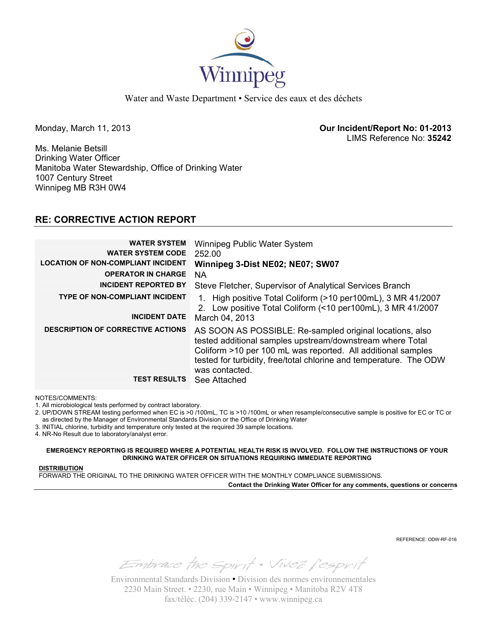

Water and Waste Department • Service des eaux et des déchets

Monday, March 11, 2013 **Our Incident/Report No: 01-2013**  LIMS Reference No: **35242**

Ms. Melanie Betsill Drinking Water Officer Manitoba Water Stewardship, Office of Drinking Water 1007 Century Street Winnipeg MB R3H 0W4

## **RE: CORRECTIVE ACTION REPORT**

| <b>WATER SYSTEM</b><br><b>WATER SYSTEM CODE</b><br><b>LOCATION OF NON-COMPLIANT INCIDENT</b> | Winnipeg Public Water System<br>252.00<br>Winnipeg 3-Dist NE02; NE07; SW07                                                                                                                                                                                                    |
|----------------------------------------------------------------------------------------------|-------------------------------------------------------------------------------------------------------------------------------------------------------------------------------------------------------------------------------------------------------------------------------|
| <b>OPERATOR IN CHARGE</b>                                                                    | <b>NA</b>                                                                                                                                                                                                                                                                     |
| <b>INCIDENT REPORTED BY</b>                                                                  | Steve Fletcher, Supervisor of Analytical Services Branch                                                                                                                                                                                                                      |
| <b>TYPE OF NON-COMPLIANT INCIDENT</b><br><b>INCIDENT DATE</b>                                | 1. High positive Total Coliform (>10 per100mL), 3 MR 41/2007<br>2. Low positive Total Coliform (<10 per100mL), 3 MR 41/2007                                                                                                                                                   |
|                                                                                              | March 04, 2013                                                                                                                                                                                                                                                                |
| <b>DESCRIPTION OF CORRECTIVE ACTIONS</b>                                                     | AS SOON AS POSSIBLE: Re-sampled original locations, also<br>tested additional samples upstream/downstream where Total<br>Coliform >10 per 100 mL was reported. All additional samples<br>tested for turbidity, free/total chlorine and temperature. The ODW<br>was contacted. |
| <b>TEST RESULTS</b>                                                                          | See Attached                                                                                                                                                                                                                                                                  |

NOTES/COMMENTS:

1. All microbiological tests performed by contract laboratory.

2. UP/DOWN STREAM testing performed when EC is >0 /100mL, TC is >10 /100mL or when resample/consecutive sample is positive for EC or TC or as directed by the Manager of Environmental Standards Division or the Office of Drinking Water

3. INITIAL chlorine, turbidity and temperature only tested at the required 39 sample locations.

4. NR-No Result due to laboratory/analyst error.

**EMERGENCY REPORTING IS REQUIRED WHERE A POTENTIAL HEALTH RISK IS INVOLVED. FOLLOW THE INSTRUCTIONS OF YOUR DRINKING WATER OFFICER ON SITUATIONS REQUIRING IMMEDIATE REPORTING**

**DISTRIBUTION**

FORWARD THE ORIGINAL TO THE DRINKING WATER OFFICER WITH THE MONTHLY COMPLIANCE SUBMISSIONS.

**Contact the Drinking Water Officer for any comments, questions or concerns**

REFERENCE: ODW-RF-016

Embrace the spirit . Vivez l'esprit

Environmental Standards Division • Division des normes environnementales 2230 Main Street. • 2230, rue Main • Winnipeg • Manitoba R2V 4T8 fax/téléc. (204) 339-2147 • www.winnipeg.ca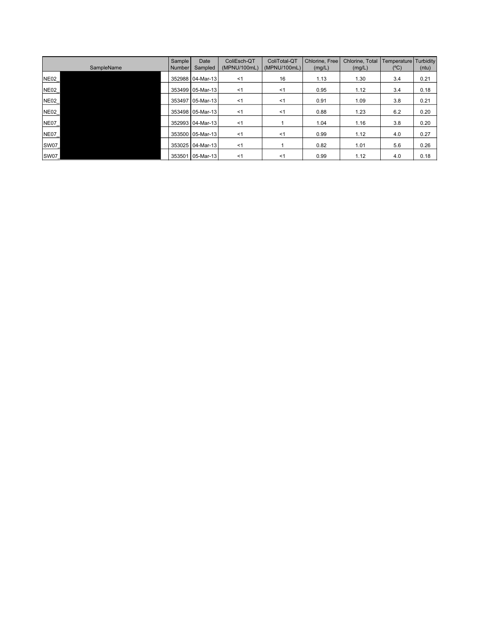| SampleName   | <b>Sample</b><br>Number | Date<br>Sampled  | ColiEsch-QT<br>(MPNU/100mL) | ColiTotal-QT<br>(MPNU/100mL) | Chlorine, Free<br>(mg/L) | Chlorine, Total<br>(mg/L) | Temperature<br>$(^{\circ}C)$ | Turbidity<br>(ntu) |
|--------------|-------------------------|------------------|-----------------------------|------------------------------|--------------------------|---------------------------|------------------------------|--------------------|
| <b>NE02_</b> |                         | 352988 04-Mar-13 | <1                          | 16                           | 1.13                     | 1.30                      | 3.4                          | 0.21               |
| <b>NE02_</b> |                         | 353499 05-Mar-13 | <1                          | $<$ 1                        | 0.95                     | 1.12                      | 3.4                          | 0.18               |
| NEO2         |                         | 353497 05-Mar-13 | < 1                         | $<$ 1                        | 0.91                     | 1.09                      | 3.8                          | 0.21               |
| <b>NE02_</b> |                         | 353498 05-Mar-13 | $<$ 1                       | $<$ 1                        | 0.88                     | 1.23                      | 6.2                          | 0.20               |
| <b>NE07_</b> |                         | 352993 04-Mar-13 | < 1                         |                              | 1.04                     | 1.16                      | 3.8                          | 0.20               |
| NE07_        |                         | 353500 05-Mar-13 | $<$ 1                       | $<$ 1                        | 0.99                     | 1.12                      | 4.0                          | 0.27               |
| <b>SW07</b>  |                         | 353025 04-Mar-13 | <1                          |                              | 0.82                     | 1.01                      | 5.6                          | 0.26               |
| <b>SW07</b>  | 353501                  | 05-Mar-13        | $<$ 1                       | $<$ 1                        | 0.99                     | 1.12                      | 4.0                          | 0.18               |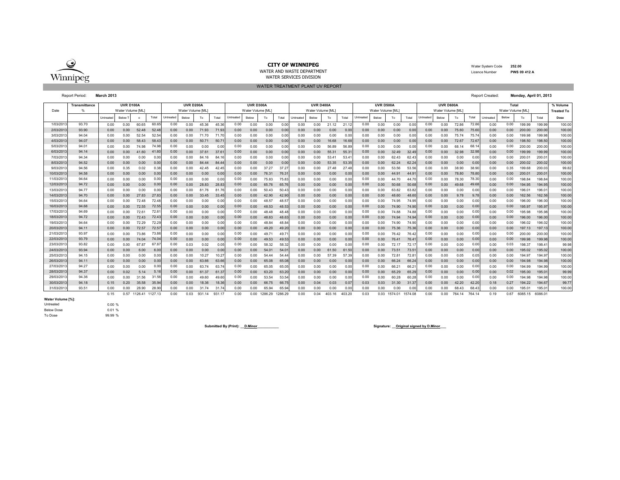

 Water System Code **252.00** Licence Number**PWS 09 412 A**

WATER AND WASTE DEPARTMENTWATER SERVICES DIVISION

#### WATER TREATMENT PLANT UV REPORT

Report Period: **March 2013** Report Created: **Monday, April 01, 2013**

|           | <b>Transmittance</b> |           | <b>UVR D100A</b>   |                 |       |           | <b>UVR D200A</b> |            |        |           | <b>UVR D300A</b> |         |         |           | <b>UVR D400A</b>  |        |        |           | UVR D500A         |         |         |           | UVR D600A         |        |        |           | Total            |         |         | % Volume          |
|-----------|----------------------|-----------|--------------------|-----------------|-------|-----------|------------------|------------|--------|-----------|------------------|---------|---------|-----------|-------------------|--------|--------|-----------|-------------------|---------|---------|-----------|-------------------|--------|--------|-----------|------------------|---------|---------|-------------------|
| Date      |                      |           | Water Volume [ML]  |                 |       |           | Water Volume IML |            |        |           | Water Volume IML |         |         |           | Water Volume [ML] |        |        |           | Water Volume [ML] |         |         |           | Water Volume [ML] |        |        |           | Water Volume IML |         |         | <b>Treated To</b> |
|           |                      | Untreated | Below <sup>'</sup> | $\circ$         | Total | Untreated | Below            | To         | Total  | Untreated | Below            | To      | Total   | Untreated | Below             | To     | Total  | Untreated | Below             | To      | Total   | Untreated | Below             | To     | Total  | Untreated | Below            | To      | Total   | Dose              |
| 1/03/201  | 93.70                | 0.00      | 0.00               | 60.65           | 60.65 | 0.00      | 0.00             | 45.36      | 45.36  | 0.00      | 0.00             | 0.00    | 0.00    | 0.00      | 0.00              | 21.12  | 21.1   | 0.00      | 0.00              | 0.00    | 0.00    | 0.00      | 0.00              | 72.86  | 72.86  | 0.00      | 0.00             | 199.99  | 199.99  | 100.00            |
| 2/03/201  | 93.90                | 0.00      | 0.00               | 52.48           | 52.41 | 0.00      | 0.00             | 71.93      | 71.93  | 0.00      | 0.00             | 0.00    | 0.00    | 0.00      | 0.00              | 0.00   | 0.0    | 0.00      | 0.00              | 0.00    | 0.00    | 0.00      | 0.00              | 75.60  | 75.6   | 0.00      | 0.00             | 200.00  | 200.00  | 100.00            |
| 3/03/201  | 94.04                | 0.00      | 0.00               | 52.54           | 52.5  | 0.00      | 0.00             | 71.70      | 71.7   | 0.00      | 0.00             | 0.00    | 0.0(    | 0.00      | 0.00              | 0.00   | 0.00   | 0.00      | 0.00              | 0.00    | 0.00    | 0.00      | 0.00              | 75.74  | 75.74  | 0.00      | 0.00             | 199.98  | 199.98  | 100.00            |
| 4/03/201  | 94.07                | 0.00      | 0.00               | 58.43           | 58.4  | 0.00      | 0.00             | 50.71      | 50.7   | 0.00      | 0.00             | 0.00    | 0.00    | 0.00      | 0.00              | 16.68  | 16.6   | 0.00      | 0.00              | 0.00    | 0.00    | 0.00      | 0.00              | 72.67  | 72.6   | 0.00      | 0.00             | 198.50  | 198.50  | 100.00            |
| 5/03/201  | 94.01                | 0.00      | 0.00               | 74.98           | 74.9  | 0.00      | 0.00             | 0.00       |        | 0.00      | 0.00             | 0.00    | 0.0     | 0.00      | 0.00              | 56.89  | 56.8   | 0.00      | 0.00              | 0.00    | 0.0     | 0.00      | 0.00              | 68.14  | 68.    | 0.00      | 0.00             | 200.00  | 200.00  | 100.00            |
| 6/03/201  | 94.14                | 0.00      | 0.00               | 41.60           | 41.6  | 0.00      | 0.00             | 37.61      | 37.6   | 0.00      | 0.00             | 0.00    | 0.0     | 0.00      | 0.00              | 55.31  | 55.3   | 0.00      | 0.00              | 32.49   | 32.4    | 0.00      | 0.00              | 32.98  | 32.9   | 0.00      | 0.00             | 199.99  | 199.99  | 100.00            |
| 7/03/201  | 94.34                | 0.00      | 0.00               | 0.00            | 0.01  | 0.00      | 0.00             | 84.16      | 84.    | 0.00      | 0.00             | 0.00    | 0.0     | 0.00      | 0.00              | 53.41  | 53.4   | 0.00      | 0.00              | 62.43   | 62.43   | 0.00      | 0.00              | 0.00   | 0.00   | 0.00      | 0.00             | 200.01  | 200.0   | 100.00            |
| 8/03/201  | 94.52                | 0.00      | 0.00               | 0.00            | 0.00  | 0.00      | 0.00             | 84.44      | 84.4   | 0.00      | 0.00             | 0.00    | 0.0(    | 0.00      | 0.00              | 53.35  | 53.3   | 0.00      | 0.00              | 62.24   | 62.2    | 0.00      | 0.00              | 0.00   | 0.00   | 0.00      | 0.00             | 200.02  | 200.02  | 100.00            |
| 9/03/201  | 94.56                | 0.00      | 0.35               | 0.02            | 0.31  | 0.00      | 0.00             | 42.45      | 42.45  | 0.00      | 0.00             | 37.27   | 37.2    | 0.00      | 0.00              | 27.48  | 27.4   | 0.00      | 0.00              | 53.56   | 53.5    | 0.00      | 0.00              | 38.90  | 38.90  | 0.00      | 0.35             | 199.68  | 200.0   | 99.82             |
| 10/03/201 | 94.58                | 0.00      | 0.00               | 0.00            | 0.00  | 0.00      | 0.00             | 0.00       | 0.00   | 0.00      | 0.00             | 76.31   | 76.3    | 0.00      | 0.00              | 0.00   | 0.0    | 0.00      | 0.00              | 44.91   | 44.9    | 0.00      | 0.00              | 78.80  | 78.8   | 0.00      | 0.00             | 200.01  | 200.0   | 100.00            |
| 11/03/201 | 94.64                | 0.00      | 0.00               | 0.00            | 0.01  | 0.00      | 0.00             | 0.00       | 0.00   | 0.00      | 0.00             | 75.83   | 75.8    | 0.00      | 0.00              | 0.00   | 0.0    | 0.00      | 0.00              | 44.70   | 44.7    | 0.00      | 0.00              | 78.30  | 78.3   | 0.00      | 0.00             | 198.84  | 198.84  | 100.00            |
| 12/03/201 | 94.72                | 0.00      | 0.00               | 0.00            | 0.01  | 0.00      | 0.00             | 28.83      | 28.8   | 0.00      | 0.00             | 65.76   | 65.7    | 0.00      | 0.00              | 0.00   | 0.00   | 0.00      | 0.00              | 50.68   | 50.6    | 0.00      | 0.00              | 49.68  | 49.6   | 0.00      | 0.00             | 194.95  | 194.95  | 100.00            |
| 13/03/201 | 94.77                | 0.00      | 0.00               | 0.00            | 0.01  | 0.00      | 0.00             | 81.76      | 81.7   | 0.00      | 0.00             | 50.43   | 50.4    | 0.00      | 0.00              | 0.00   | 0.00   | 0.00      | 0.00              | 63.82   | 63.8    | 0.00      | 0.00              | 0.00   | 0.00   | 0.00      | 0.00             | 196.01  | 196.0   | 100.00            |
| 14/03/201 | 94.70                | 0.00      | 0.00               | 27.83           | 27.8  | 0.00      | 0.00             | 33.45      | 33.4   | 0.00      | 0.00             | 42.90   | 42.9    | 0.00      | 0.00              | 0.00   | 0.00   | 0.00      | 0.00              | 48.60   | 48.6    | 0.00      | 0.00              | 9.78   | 9.78   | 0.00      | 0.00             | 162.56  | 162.56  | 100.00            |
| 15/03/201 | 94.64                | 0.00      | 0.00               | 72.48           | 72.4  | 0.00      | 0.00             | 0.00       | 0.00   | 0.00      | 0.00             | 48.57   | 48.5    | 0.00      | 0.00              | 0.00   | 0.00   | 0.00      | 0.00              | 74.95   | 74.9    | 0.00      | 0.00              | 0.00   | 0.00   | 0.00      | 0.00             | 196.00  | 196.00  | 100.00            |
| 16/03/201 | 94.68                | 0.00      | 0.00               | 72.55           | 72.55 | 0.00      | 0.00             | 0.00       | 0.00   | 0.00      | 0.00             | 48.53   | 48.53   | 0.00      | 0.00              | 0.00   | 0.00   | 0.00      | 0.00              | 74.90   | 74.90   | 0.00      | 0.00              | 0.00   | 0.00   | 0.00      | 0.00             | 195.97  | 195.97  | 100.00            |
| 17/03/201 | 94.69                | 0.00      | 0.00               | 72.6'           | 72.6  | 0.00      | 0.00             | 0.00       | 0.00   | 0.00      | 0.00             | 48.48   | 48.4    | 0.00      | 0.00              | 0.00   | 0.0    | 0.00      | 0.00              | 74.88   | 74.8    | 0.00      | 0.00              | 0.00   | 0.00   | 0.00      | 0.00             | 195.98  | 195.98  | 100.00            |
| 18/03/201 | 94.72                | 0.00      | 0.00               | 72.43           | 72.43 | 0.00      | 0.00             | 0.00       | 0.00   | 0.00      | 0.00             | 48.63   | 48.6    | 0.00      | 0.00              | 0.00   | 0.0    | 0.00      | 0.00              | 74.94   | 74.9    | 0.00      | 0.00              | 0.00   | 0.00   | 0.00      | 0.00             | 196.00  | 196.00  | 100.00            |
| 19/03/201 | 94.64                | 0.00      | 0.00               | 72.29           | 72.2  | 0.00      | 0.00             | 0.00       | 0.00   | 0.00      | 0.00             | 48.84   | 48.8    | 0.00      | 0.00              | 0.00   | 0.00   | 0.00      | 0.00              | 74.90   | 74.9    | 0.00      | 0.00              | 0.00   | 0.00   | 0.00      | 0.00             | 196.02  | 196.02  | 100.00            |
| 20/03/201 | 94.11                | 0.00      | 0.00               | 72.57           | 72.57 | 0.00      | 0.00             | 0.00       | 0.00   | 0.00      | 0.00             | 49.20   | 49.2    | 0.00      | 0.00              | 0.00   | 0.00   | 0.00      | 0.00              | 75.36   | 75.3    | 0.00      | 0.00              | 0.00   | 0.00   | 0.00      | 0.00             | 197.13  | 197.1   | 100.00            |
| 21/03/201 | 93.97                | 0.00      | 0.00               | 73.86           | 73.86 | 0.00      | 0.00             | 0.00       | 0.00   | 0.00      | 0.00             | 49.71   | 49.7    | 0.00      | 0.00              | 0.00   | 0.0    | 0.00      | 0.00              | 76.42   | 76.42   | 0.00      | 0.00              | 0.00   | 0.00   | 0.00      | 0.00             | 200.00  | 200.00  | 100.00            |
| 22/03/201 | 93.79                | 0.00      | 0.00               | 74.04           | 74.0  | 0.00      | 0.00             | 0.00       | 0.00   | 0.00      | 0.00             | 49.53   | 49.5    | 0.00      | 0.00              | 0.00   | 0.0    | 0.00      | 0.00              | 76.41   | 76.4    | 0.00      | 0.00              | 0.00   | 0.00   | 0.00      | 0.00             | 199.98  | 199.98  | 100.00            |
| 23/03/201 | 93.82                | 0.00      | 0.00               | 67.87           | 67.8  | 0.00      | 0.03             | 0.02       | 0.05   | 0.00      | 0.00             | 58.32   | 58.3    | 0.00      | 0.00              | 0.00   | 0.0    | 0.00      | 0.00              | 72.17   | 72.1    | 0.00      | 0.00              | 0.00   | 0.00   | 0.00      | 0.03             | 198.37  | 198.4   | 99.98             |
| 24/03/201 | 93.94                | 0.00      | 0.00               | 6.00            | 6.00  | 0.00      | 0.00             | 0.00       | 0.00   | 0.00      | 0.00             | 54.01   | 54.0    | 0.00      | 0.00              | 61.50  | 61.5   | 0.00      | 0.00              | 73.51   | 73.5    | 0.00      | 0.00              | 0.00   | 0.00   | 0.00      | 0.00             | 195.02  | 195.02  | 100.00            |
| 25/03/201 | 94.15                | 0.00      | 0.00               | 0.00            | 0.00  | 0.00      | 0.00             | 10.27      | 10.2   | 0.00      | 0.00             | 54.44   | 54.4    | 0.00      | 0.00              | 57.39  | 57.3   | 0.00      | 0.00              | 72.81   | 72.8    | 0.00      | 0.00              | 0.05   | 0.05   | 0.00      | 0.00             | 194.97  | 194.97  | 100.00            |
| 26/03/201 | 94.11                | 0.00      | 0.00               | 0.00            | 0.00  | 0.00      | 0.00             | 63.66      | 63.6   | 0.00      | 0.00             | 65.08   | 65.0    | 0.00      | 0.00              | 0.00   | 0.0    | 0.00      | 0.00              | 66.24   | 66.2    | 0.00      | 0.00              | 0.00   | 0.00   | 0.00      | 0.00             | 194.98  | 194.98  | 100.00            |
| 27/03/201 | 94.27                | 0.00      | 0.00               | 0.00            | 0.01  | 0.00      | 0.00             | 63.74      | 63.7   | 0.00      | 0.00             | 65.05   | 65.0    | 0.00      | 0.00              | 0.00   | 0.0    | 0.00      | 0.00              | 66.2    | 66.2    | 0.00      | 0.00              | 0.00   | 0.00   | 0.00      | 0.00             | 194.99  | 194.99  | 100.00            |
| 28/03/201 | 94.37                | 0.00      | 0.02               | 5.14            | 5.1   | 0.00      | 0.00             | 61.37      | 61.3   | 0.00      | 0.00             | 63.20   | 63.2    | 0.00      | 0.00              | 0.00   | 0.00   | 0.00      | 0.00              | 65.29   | 65.2    | 0.00      | 0.00              | 0.00   | 0.00   | 0.00      | 0.02             | 195.00  | 195.0   | 99.99             |
| 29/03/201 | 94.36                | 0.00      | 0.00               | 31.56           | 31.5  | 0.00      | 0.00             | 49.60      | 49.6   | 0.00      | 0.00             | 53.54   | 53.5    | 0.00      | 0.00              | 0.00   | 0.0    | 0.00      | 0.00              | 60.28   | 60.2    | 0.00      | 0.00              | 0.00   | 0.00   | 0.00      | 0.00             | 194.98  | 194.98  | 100.00            |
| 30/03/201 | 94.18                | 0.15      | 0.20               | 35.58           | 35.9  | 0.00      | 0.00             | 18.36      | 18.36  | 0.00      | 0.00             | 66.75   | 66.7    | 0.00      | 0.04              | 0.03   | 0.0    | 0.03      | 0.03              | 31.30   | 31.3    | 0.00      | 0.00              | 42.20  | 42.20  | 0.18      | 0.27             | 194.22  | 194.67  | 99.77             |
| 31/03/201 | 93.51                | 0.00      | 0.00               | 28.90           | 28.9  | 0.00      | 0.00             | 31.74      | 31.    | 0.00      | 0.00             | 65.94   | 65.9    | 0.00      | 0.00              | 0.00   | 0.0    | 0.00      | 0.00              | 0.00    | 0.0     | 0.00      | 0.00              | 68.43  | 68.43  | 0.00      | 0.00             | 195.0   | 195.0   | 100.00            |
|           |                      | 0.15      | 0.57               | 1126.41 1127.13 |       | 0.00      | 0.03             | 931<br>.14 | 931.17 | 0.00      | 0.00             | 1286.29 | 1286.29 | 0.00      | 0.04              | 403.16 | 403.20 | 0.03      | 0.03              | 1574.01 | 1574.08 | 0.00      | 0.00              | 764.14 | 764.14 | 0.19      | 0.67             | 6085.15 | 6086.01 |                   |

**Water Volume [%]:**<br>Untreated

Below Dose

To Dose

0.00 % 0.01 % 99.99 %

**Submitted By (Print): \_\_D.Minor\_\_\_\_\_\_\_\_\_\_\_ Signature: \_\_Original signed by D.Minor\_\_\_**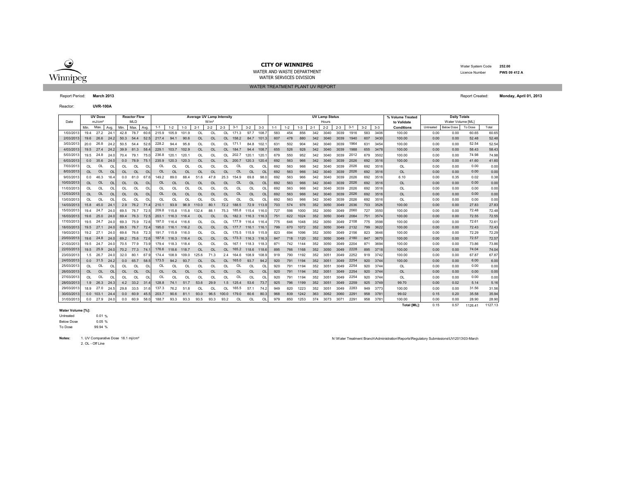

WATER TREATMENT PLANT UV REPORTWATER AND WASTE DEPARTMENTWATER SERVICES DIVISION

 Water System Code **252.00** Licence Number**PWS 09 412 A**

Report Period: **March 2013** Report Created: **Monday, April 01, 2013**

Reactor:**UVR-100A**

|            |           | <b>UV Dose</b>     |                |           | <b>Reactor Flow</b> |                |           |           |           | Average UV Lamp Intensity |                  |           |            |             |          |         |       |         |         | <b>UV Lamp Status</b> |         |         |       |         | % Volume Treated   |           | <b>Daily Totals</b> |         |         |
|------------|-----------|--------------------|----------------|-----------|---------------------|----------------|-----------|-----------|-----------|---------------------------|------------------|-----------|------------|-------------|----------|---------|-------|---------|---------|-----------------------|---------|---------|-------|---------|--------------------|-----------|---------------------|---------|---------|
| Date       |           | mJ/cm <sup>2</sup> |                |           | <b>MLD</b>          |                |           |           |           |                           | W/m <sup>2</sup> |           |            |             |          |         |       |         |         | Hours                 |         |         |       |         | to Validate        |           | Water Volume [ML]   |         |         |
|            | Min.      | Max                | Avg            | Min.      | Max.                | Avg            | $1 - 1$   | $1 - 2$   | $1 - 3$   | $2 - 1$                   | $2 - 2$          | $2 - 3$   | $3 - 1$    | $3 - 2$     | $3 - 3$  | $1 - 1$ | $1-2$ | $1 - 3$ | $2 - 1$ | $2 - 2$               | $2 - 3$ | $3 - 1$ | $3-2$ | $3 - 3$ | <b>Conditions</b>  | Untreated | <b>Below Dose</b>   | To Dose | Total   |
| 1/03/201   | 194       | 27.2               | 24.            | 42.8      | 78.7                | 60.6           | 215.9     | 105.9     | 101.9     | OL                        | OL               | <b>OL</b> | 171.3      | 97.7        | 108.7    | 583     | 454   | 856     | 342     | 3040                  | 3039    | 1916    | 583   | 3406    | 100.00             | 0.00      | 0.00                | 60.65   | 60.65   |
| 2/03/2013  | 196       | 26.6               | 24.2           | 50.3      | 54.4                | 52.5           | 217.4     | 94.1      | 90.6      | OL                        | OL               | $\Omega$  | 158.2      | 84.7        | 101.3    | 607     | 478   | 880     | 342     | 3040                  | 3039    | 1940    | 607   | 3430    | 100.00             | 0.00      | 0.00                | 52.48   | 52.48   |
| 3/03/201   | 20.0      | 26.8               | 24.3           | 50.5      | 54.4                | 52.1           | 228.2     | 94.4      | 95.8      | OL                        | OL               | 0L        | 171.1      | 84.8        | 102.     | 631     | 502   | 904     | 342     | 3040                  | 3039    | 1964    | 631   | 3454    | 100.00             | 0.00      | 0.00                | 52.54   | 52.54   |
| 4/03/2013  |           | 19.5 27.4          | 24.2           | 39.9      | 81.3                | 58.            | 229.1     | 103.7     | 102.9     | OL                        | OL               |           | OL 184.7   | 94.4        | 108.     | 655     | 526   | 928     | 342     | 3040                  | 3039    | 1988    | 655   | 3478    | 100.00             | 0.00      | 0.00                | 58.43   | 58.43   |
| 5/03/2013  | 19.5      | 24.8               | 24.0           | 70.4      | 79.1                | 75.0           | 236.8     | 120.1     | 120.1     | OL                        | OL               | OL        | 202.7      | 120.1       | 120.     | 679     | 550   | 952     | 342     | 3040                  | 3039    | 2012    | 679   | 3502    | 100.00             | 0.00      | 0.00                | 74.98   | 74.98   |
| 6/03/2013  | 0.0       | 35.6               | 24.0           | 0.0       | 78.9                | 75.1           | 235.9     | 120.3     | 120.3     | OL                        | <b>OL</b>        | OL        | 200.7      | 120.3       | 120.4    | 692     | 563   | 966     | 342     | 3040                  | 3039    | 2026    | 692   | 3516    | 100.00             | 0.00      | 0.00                | 41.60   | 41.60   |
| 7/03/2013  | <b>OL</b> | OL                 | O <sub>l</sub> | OL        | OL                  | OL             | OL        | OL        | OL        | OL                        | OL               | OL        | OL         | OL          | $\Omega$ | 692     | 563   | 966     | 342     | 3040                  | 3039    | 2026    | 692   | 3516    | OL                 | 0.00      | 0.00                | 0.00    | 0.00    |
| 8/03/2013  | <b>OL</b> | <b>OL</b>          | OL             | <b>OL</b> | <b>OL</b>           | OL             | <b>OL</b> | OL        | <b>OL</b> | OL                        | OL               | OL        | OL         | <b>OL</b>   | OL       | 692     | 563   | 966     | 342     | 3040                  | 3039    | 2026    | 692   | 3516    | OL                 | 0.00      | 0.00                | 0.00    | 0.00    |
| 9/03/2013  | 0.0       | 46.3               | 16.4           | 0.0       | 81.0                | 67.            | 149.2     | 89.0      | 88.4      | 51.6                      | 47.8             | 25.3      | 154.9      | 69.8        | 98.      | 692     | 563   | 966     | 342     | 3040                  | 3039    | 2026    | 692   | 3516    | 6.10               | 0.00      | 0.35                | 0.02    | 0.38    |
| 10/03/2013 | <b>OL</b> | OL                 | OL             | <b>OL</b> | <b>OL</b>           | OL             | <b>OL</b> | <b>OL</b> | <b>OL</b> | OL                        | <b>OL</b>        | OL        | OL         | <b>OL</b>   | OL       | 692     | 563   | 966     | 342     | 3040                  | 3039    | 2026    | 692   | 3516    | <b>OL</b>          | 0.00      | 0.00                | 0.00    | 0.00    |
| 11/03/2013 | OL        | OL                 | OL             | OL        | OL                  | OL             | OL        | OL        | OL        | OL                        | OL               | OL        | OL         | OL          | OL       | 692     | 563   | 966     | 342     | 3040                  | 3039    | 2026    | 692   | 3516    | OL                 | 0.00      | 0.00                | 0.00    | 0.00    |
| 12/03/2013 | $\Omega$  | <b>OL</b>          | <b>OL</b>      | $\Omega$  | OL                  | OL             | OL        | $\Omega$  | <b>OL</b> | OL                        | <b>OL</b>        | $\Omega$  | <b>OL</b>  | <b>OL</b>   | OL       | 692     | 563   | 966     | 342     | 3040                  | 3039    | 2026    | 692   | 3516    | <b>OL</b>          | 0.00      | 0.00                | 0.00    | 0.00    |
| 13/03/2013 | <b>OL</b> | OL                 | O              | $\Omega$  | OL                  | OL             | OL        | $\Omega$  | OL        | OL                        | OL               | ΩI        | OL         | OL          | $\Omega$ | 692     | 563   | 966     | 342     | 3040                  | 3039    | 2026    | 692   | 3516    | OL                 | 0.00      | 0.00                | 0.00    | 0.00    |
| 14/03/2013 | 15.8      | 45.0               | 24.            | 2.9       | 76.2                | 71.4           | 210.1     | 93.9      | 96.9      | 110.0                     | 80.1             | 72.2      | 188.5      | 72.9        | 113.9    | 703     | 574   | 976     | 352     | 3050                  | 3049    | 2036    | 703   | 3526    | 100.00             | 0.00      | 0.00                | 27.83   | 27.83   |
| 15/03/2013 | 19.4      | 24.7               | 24.0           | 69.5      | 76.7                | 72.5           | 209.8     | 115.8     | 115.8     | 132.4                     | 88.1             | 75.3      | 185.8      | 115.4       | 116.     | 727     | 598   | 1000    | 352     | 3050                  | 3049    | 2060    | 727   | 3550    | 100.00             | 0.00      | 0.00                | 72.48   | 72.48   |
| 16/03/2013 | 19.6      | 25.0               | 24.0           |           | 69.4 76.3           | 72.5           | 203.1     | 116.3     | 116.4     | OL                        | <b>OL</b>        | $\Omega$  | 182.3      | 116.3 116.3 |          | 751     | 622   | 1024    | 352     | 3050                  | 3049    | 2084    | 751   | 3574    | 100.00             | 0.00      | 0.00                | 72.55   | 72.55   |
| 17/03/2013 |           | 19.5 24.7          | 24.0           | 69.3      | 75.9                | 72.6           | 197.0     | 116.4     | 116.6     | OL                        | OL               |           | OL 177.9   | 116.4       | 116.4    | 775     | 646   | 1048    | 352     | 3050                  | 3049    | 2108    | 775   | 3598    | 100.00             | 0.00      | 0.00                | 72.61   | 72.61   |
| 18/03/2013 | 19.5      | 27.1               | 24.0           | 69.5      | 76.7                | 72.4           | 195.0     | 116.1     | 116.2     | OL.                       | <b>OL</b>        | OL        | 177.7      | 116.1 116.1 |          | 799     | 670   | 1072    | 352     | 3050                  | 3049    | 2132    | 799   | 3622    | 100.00             | 0.00      | 0.00                | 72.43   | 72.43   |
| 19/03/2013 | 19.2      | 27.1               | 24.0           | 69.6      | 76.6                | 72.3           | 191.7     | 115.9     | 116.0     | OL                        | <b>OL</b>        | ЮL        | 175.5      | 115.9       | 115.9    | 823     | 694   | 1096    | 352     | 3050                  | 3049    | 2156    | 823   | 3646    | 100.00             | 0.00      | 0.00                | 72.29   | 72.29   |
| 20/03/2013 | 19.6      | 24.8               | 24.0           |           | 69.2 75.6           | 72.6           | 187.6     | 116.3     | 116.4     | OL                        | <b>OL</b>        |           | OL 173.3   | 116.3 116.3 |          | 847     | 718   | 1120    | 352     | 3050                  | 3049    | 2180    | 847   | 3670    | 100.00             | 0.00      | 0.00                | 72.57   | 72.57   |
| 21/03/2013 | 19.5      | 24.7               | 24.0           | 70.5      | 77.9                | 73.9           | 179.4     | 118.3     | 118.4     | OL                        | <b>OL</b>        | 0L        | 167.1      | 118.3       | 118.     | 871     | 742   | 1144    | 352     | 3050                  | 3049    | 2204    | 871   | 3694    | 100.00             | 0.00      | 0.00                | 73.86   | 73.86   |
| 22/03/2013 |           | 19.5 25.9          | 24.0           |           | 70.2 77.3           | 74.            | 176.6     | 118.6     | 118.7     | OL                        | OL               |           | $OI$ 165.2 | 118.6       | 118.6    | 895     | 766   | 1168    | 352     | 3050                  | 3049    | 2228    | 895   | 3718    | 100.00             | 0.00      | 0.00                | 74.04   | 74.04   |
| 23/03/2013 | 1.5       | 26.7               | 24.0           | 32.0      | 80.1                | 67.            | 174.4     | 108.9     | 109.0     | 125.6                     | 71.3             | 2.4       | 164.6      | 108.9       | 108.9    | 919     | 790   | 1192    | 352     | 3051                  | 3049    | 2252    | 919   | 3742    | 100.00             | 0.00      | 0.00                | 67.87   | 67.87   |
| 24/03/2013 |           | $0.0$ 31.5         | 24.2           | 0.0       | 65.7                | 58.5           | 173.5     | 94.2      | 93.7      | <b>OL</b>                 | <b>OL</b>        | OL        | 165.0      | 93.7        | 94.2     | 920     | 791   | 1194    | 352     | 3051                  | 3049    | 2254    | 920   | 3744    | 100.00             | 0.00      | 0.00                | 6.00    | 6.00    |
| 25/03/2013 | OL.       | OL                 | O              | OL        | OL                  | O <sub>L</sub> | OL        | OL        | OL        | OL                        | OL               | OL        | OL         | OL          | OL       | 920     | 791   | 1194    | 352     | 3051                  | 3049    | 2254    | 920   | 3744    | OL                 | 0.00      | 0.00                | 0.00    | 0.00    |
| 26/03/2013 | $\Omega$  | OL                 | <b>OL</b>      | <b>OL</b> | OL                  | OL             | <b>OL</b> | <b>OL</b> | <b>OL</b> | OL                        | OL               | $\Omega$  | <b>OL</b>  | <b>OL</b>   | OL       | 920     | 791   | 1194    | 352     | 3051                  | 3049    | 2254    | 920   | 3744    | <b>OL</b>          | 0.00      | 0.00                | 0.00    | 0.00    |
| 27/03/2013 | $\Omega$  | OL                 | O              | n.        | $\Omega$            | $\Omega$       | OL        | $\Omega$  | $\Omega$  | $\Omega$                  | $\Omega$         | 0I        | OL         | $\Omega$    | $\Omega$ | 920     | 791   | 1194    | 352     | 3051                  | 3049    | 2254    | 920   | 3744    | OL                 | 0.00      | 0.00                | 0.00    | 0.00    |
| 28/03/2013 |           | 1.9 26.3           | 24.3           | 4.2       | 33.2                | 31.4           | 128.8     | 74.1      | 51.7      | 53.6                      | 29.9             | 1.5       | 125.4      | 53.6        | 73.7     | 925     | 796   | 1199    | 352     | 3051                  | 3049    | 2259    | 925   | 3749    | 99.70              | 0.00      | 0.02                | 5.14    | 5.16    |
| 29/03/201  |           | 18.9 27.0          | 24.5           | 29.8      | 33.5                | 31.6           | 137.3     | 76.2      | 51.8      | OL                        | OL               | OL        | 165.5      | 57.1        | 74.2     | 949     | 820   | 1223    | 352     | 3051                  | 3049    | 2283    | 949   | 3773    | 100.00             | 0.00      | 0.00                | 31.56   | 31.56   |
| 30/03/2013 |           | $0.0$ 103.1        | 24.4           | 0.0       | 60.9                | 45.5           | 203.7     | 90.6      | 81.1      | 93.0                      | 96.5             | 100.0     | 179.0      | 60.6        | 80.3     | 968     | 839   | 1242    | 363     | 3062                  | 3060    | 2291    | 958   | 3781    | 99.02              | 0.15      | 0.20                | 35.58   | 35.94   |
| 31/03/201  | 0.0       | 27.9               | 24.0           | 0.0       | 60.9                | 58.0           | 188.7     | 93.3      | 93.3      | 93.5                      | 93.3             | 93.2      | OL         | OL          | OL       | 979     | 850   | 1253    | 374     | 3073                  | 3071    | 2291    | 958   | 3781    | 100.00             | 0.00      | 0.00                | 28.90   | 28.90   |
|            |           |                    |                |           |                     |                |           |           |           |                           |                  |           |            |             |          |         |       |         |         |                       |         |         |       |         | <b>Total IML1:</b> | 0.15      | 0.57                | 1126.41 | 1127.13 |

**Water Volume [%]:**

% 0.01 Untreated

e 0.05 % Below Dose

e 99.94 % To Dose

Notes: 1. UV Comparative Dose 18.1 mj/cm<sup>2</sup> 2. OL - Off Line

1. Water Treatment Branch\Administration\Reports\Regulatory Submissions\UV\2013\03-March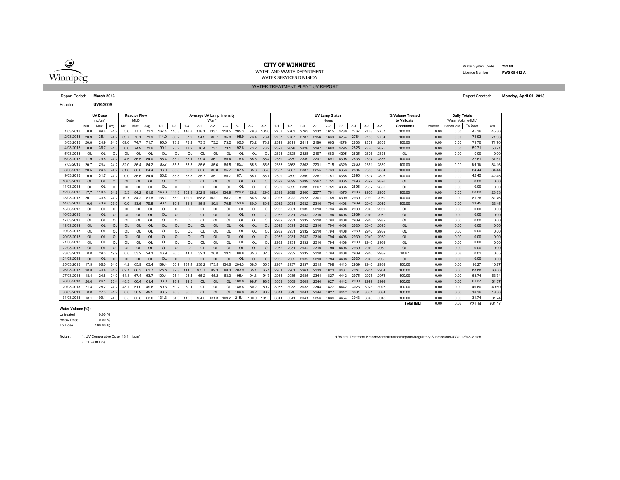

WATER AND WASTE DEPARTMENTWATER SERVICES DIVISION

 Water System Code **252.00** Licence Number**PWS 09 412 A**

Reactor:**UVR-200A**

|            |           | <b>UV Dose</b>     |                |           | <b>Reactor Flow</b> |                |           |           |           | <b>Average UV Lamp Intensity</b> |                  |                |           |           |                |         |         |         |         | <b>UV Lamp Status</b> |         |         |         |         | % Volume Treated |           | <b>Daily Totals</b> |         |       |
|------------|-----------|--------------------|----------------|-----------|---------------------|----------------|-----------|-----------|-----------|----------------------------------|------------------|----------------|-----------|-----------|----------------|---------|---------|---------|---------|-----------------------|---------|---------|---------|---------|------------------|-----------|---------------------|---------|-------|
| Date       |           | mJ/cm <sup>2</sup> |                |           | <b>MLD</b>          |                |           |           |           |                                  | W/m <sup>2</sup> |                |           |           |                |         |         |         |         | Hours                 |         |         |         |         | to Validate      |           | Water Volume IML1   |         |       |
|            | Min.      | Max.               | Avg.           | Min.      | Max.                | Avg.           | $1 - 1$   | $1 - 2$   | $1 - 3$   | $2 - 1$                          | $2 - 2$          | $2 - 3$        | $3 - 1$   | $3 - 2$   | $3 - 3$        | $1 - 1$ | $1 - 2$ | $1 - 3$ | $2 - 1$ | $2 - 2$               | $2 - 3$ | $3 - 1$ | $3 - 2$ | $3 - 3$ | Conditions       | Untreated | <b>Below Dose</b>   | To Dose | Total |
| 1/03/2013  | 0.0       | 99.4               | 24.2           | 5.0       | 77.7                | 72.1           | 167.4     | 115.3     | 146.8     | 178.1                            | 133.1            | 118.5          | 205.3     | 79.3      | 104.           | 2763    | 2763    | 2763    | 2132    | 1615                  | 4230    | 2767    | 2768    | 2767    | 100.00           | 0.00      | 0.00                | 45.36   | 45.36 |
| 2/03/201   | 20.9      | 35.1               | 24.2           | 69.7      | 75.1                | 71.9           | 114.0     | 86.2      | 87.9      | 94.9                             | 85.7             | 85.8           | 195.9     | 73.4      | 73.4           | 2787    | 2787    | 2787    | 2156    | 1639                  | 4254    | 2784    | 2785    | 2784    | 100.00           | 0.00      | 0.00                | 71.93   | 71.93 |
| 3/03/201   | 20.8      | 24.9               | 24.3           | 69.6      | 74.7                | 71.            | 95.0      | 73.2      | 73.2      | 73.3                             | 73.2             | 73.2           | 195.5     | 73.2      | 73.            | 2811    | 2811    | 281'    | 2180    | 1663                  | 4278    | 2808    | 2809    | 2808    | 100.00           | 0.00      | 0.00                | 71.70   | 71.70 |
| 4/03/2013  | 0.0       | 36.7               | 24.3           | 0.0       | 74.9                | 71.6           | 90.1      | 73.2      | 73.2      | 76.4                             | 73.1             | 73.1           | 192.6     | 73.2      | 73.2           | 2828    | 2828    | 2828    | 2197    | 1680                  | 4295    | 2825    | 2826    | 2825    | 100.00           | 0.00      | 0.00                | 50.71   | 50.71 |
| 5/03/2013  | OL        | OL                 | $\Omega$       | OL        | $\Omega$            | OL             | $\Omega$  | OL        | OL        | OL                               | ΩI               | വ              | OL        | OL        | OL             | 2828    | 2828    | 2828    | 2197    | 1680                  | 4295    | 2825    | 2826    | 2825    | OL               | 0.00      | 0.00                | 0.00    | 0.00  |
| 6/03/2013  | 17.9      | 79.5               | 24.2           | 4.5       | 86.5                | 84.            | 85.4      | 85.1      | 85.1      | 99.4                             | 86.1             | 85.4           | 178.6     | 85.6      | 85.4           | 2839    | 2839    | 2839    | 2207    | 1691                  | 4305    | 2836    | 2837    | 2836    | 100.00           | 0.00      | 0.00                | 37.61   | 37.61 |
| 7/03/201   | 20.7      | 24.7               | 24.2           | 82.0      | 86.4                | 84.2           | 85.7      | 85.5      | 85.5      | 85.6                             | 85.6             | 85.5           | 185.7     | 85.6      | 85.            | 2863    | 2863    | 2863    | 2231    | 1715                  | 4329    | 2860    | 286     | 2860    | 100.00           | 0.00      | 0.00                | 84.16   | 84.16 |
| 8/03/201   | 20.5      | 24.8               | 24.2           | 81.8      | 86.6                | 84.            | 86.0      | 85.8      | 85.8      | 85.8                             | 85.8             | 85.7           | 187.5     | 85.8      | 85.            | 2887    | 2887    | 2887    | 2255    | 1739                  | 4353    | 2884    | 2885    | 2884    | 100.00           | 0.00      | 0.00                | 84.44   | 84.44 |
| 9/03/201   | 0.0       | 31.7               | 24.2           | 0.0       | 86.6                | 84.4           | 86.2      | 85.8      | 85.8      | 85.7                             | 85.7             | 85.7           | 187.1     | 85.7      | 85.            | 2899    | 2899    | 2899    | 2267    | 1751                  | 4365    | 2896    | 2897    | 2896    | 100.00           | 0.00      | 0.00                | 42.45   | 42.45 |
| 10/03/2013 | <b>OL</b> | <b>OL</b>          | OL             | <b>OL</b> | $\Omega$            | $\Omega$       | OL        | <b>OL</b> | <b>OL</b> | OL                               | $\Omega$         | <b>OL</b>      | OL        | <b>OL</b> | O <sub>L</sub> | 2899    | 2899    | 2899    | 2267    | 1751                  | 4365    | 2896    | 2897    | 2896    | <b>OL</b>        | 0.00      | 0.00                | 0.00    | 0.00  |
| 11/03/2013 | OL        | OL                 | $\Omega$       | OL        | OL                  | OL             | $\Omega$  | OL        | OL        | OL                               | OL               | ΩI             | OL        | OL        | $\Omega$       | 2899    | 2899    | 2899    | 2267    | 1751                  | 4365    | 2896    | 2897    | 2896    | OL               | 0.00      | 0.00                | 0.00    | 0.00  |
| 12/03/201  | 17.7      | 110.5              | 24.2           | 3.3       | 84.2                | 81.6           | 146.8     |           | 162.9     | 252.9                            | 189.4            | 136.9          | 229.2     | 128.2     | 129.6          | 2899    | 2899    | 2900    | 2277    | 1761                  | 4375    | 2906    | 2906    | 2906    | 100.00           | 0.00      | 0.00                | 28.83   | 28.83 |
| 13/03/201  | 20.7      | 33.5               | 24.2           | 79.7      | 84.2                | 81.8           | 138.      | 85.9      | 129.9     | 158.8                            | 102.             | 88.7           | 175.      | 86.8      | 87             | 2923    | 2922    | 2923    | 2301    | 1785                  | 4399    | 2930    | 2930    | 2930    | 100.00           | 0.00      | 0.00                | 81.76   | 81.76 |
| 14/03/2013 | 0.0       | 43.9               | 23.5           | 0.0       | 83.6                | 79.5           | 90.1      | 80.8      | 81.1      | 85.8                             | 80.8             | 79.5           | 153.6     | 80.9      | 80.            | 2932    | 2931    | 2932    | 2310    | 1794                  | 4408    | 2939    | 2940    | 2939    | 100.00           | 0.00      | 0.00                | 33.45   | 33.45 |
| 15/03/2013 | OL        | OL                 | O <sub>L</sub> | <b>OL</b> | OL                  | OL             | OL        | OL        | OL        | OL                               | OL               | OL             | OL        | OL        | OL             | 2932    | 293     | 2932    | 2310    | 1794                  | 4408    | 2939    | 2940    | 2939    | OL               | 0.00      | 0.00                | 0.00    | 0.00  |
| 16/03/2013 | <b>OL</b> | <b>OL</b>          | $\Omega$       | $\Omega$  | $\Omega$            | $\Omega$       | <b>OL</b> | $\Omega$  | $\Omega$  | OL                               | $\Omega$         | $\Omega$       | <b>OL</b> | <b>OL</b> | O <sub>L</sub> | 2932    | 2931    | 2932    | 2310    | 1794                  | 4408    | 2939    | 2940    | 2939    | <b>OL</b>        | 0.00      | 0.00                | 0.00    | 0.00  |
| 17/03/2013 | OL        | OL                 | $\Omega$       | <b>OL</b> | OL                  | OL             | $\Omega$  | OL        | OL        | OL                               | OL               | $\Omega$       | OL        | OL        | $\Omega$       | 2932    | 293'    | 2932    | 2310    | 1794                  | 4408    | 2939    | 2940    | 2939    | OL               | 0.00      | 0.00                | 0.00    | 0.00  |
| 18/03/201  | <b>OL</b> | <b>OL</b>          | $\Omega$       | <b>OL</b> | <b>OL</b>           | O <sub>L</sub> | <b>OL</b> | OL        | <b>OL</b> | OL                               | OL               | <b>OL</b>      | OL        | <b>OL</b> | OL             | 2932    | 2931    | 2932    | 2310    | 1794                  | 4408    | 2939    | 2940    | 2939    | <b>OL</b>        | 0.00      | 0.00                | 0.00    | 0.00  |
| 19/03/2013 | OL        | OL                 | $\Omega$       | OL        | OL                  | OI             | O         | OL        | OL        | OL                               | OL               | O              | OL        | OL        | $\Omega$       | 2932    | 293'    | 2932    | 2310    | 1794                  | 4408    | 2939    | 2940    | 2939    | OL               | 0.00      | 0.00                | 0.00    | 0.00  |
| 20/03/2013 | <b>OL</b> | <b>OL</b>          | $\Omega$       | $\Omega$  | OL                  | O <sub>L</sub> | OL        | OL        | $\Omega$  | OL                               | $\Omega$         | O <sub>l</sub> | OL        | <b>OL</b> | OL             | 2932    | 2931    | 2932    | 2310    | 1794                  | 4408    | 2939    | 2940    | 2939    | $\Omega$         | 0.00      | 0.00                | 0.00    | 0.00  |
| 21/03/2013 | OL        | OL                 | $\Omega$       | $\Omega$  | $\Omega$            | O <sub>L</sub> | Ol        | OL        | OL        | OL                               | OL               | OL             | OL        | OL        | OL             | 2932    | 2931    | 2932    | 2310    | 1794                  | 4408    | 2939    | 2940    | 2939    | OL               | 0.00      | 0.00                | 0.00    | 0.00  |
| 22/03/2013 | OL        | <b>OL</b>          | OL             | <b>OL</b> | OL                  | O <sub>l</sub> | OL        | OL        | OL        | OL                               | OL               | OL             | <b>OL</b> | <b>OL</b> | OL             | 2932    | 2931    | 2932    | 2310    | 1794                  | 4408    | 2939    | 2940    | 2939    | <b>OL</b>        | 0.00      | 0.00                | 0.00    | 0.00  |
| 23/03/201  | 0.0       | 29.3               | 19.9           | 0.0       | 53.2                | 24.            | 46.9      | 26.5      | 41.7      | 32.1                             | 26.0             | 19.7           | 88.8      | 35.6      | 32.            | 2932    | 2932    | 2932    | 2310    | 1794                  | 4408    | 2939    | 2940    | 2939    | 30.67            | 0.00      | 0.03                | 0.02    | 0.05  |
| 24/03/2013 | 0L        | <b>OL</b>          | $\Omega$       | <b>OL</b> | $\Omega$            | O <sub>l</sub> | $\Omega$  | $\Omega$  | $\Omega$  | $\Omega$                         | $\Omega$         | $\Omega$       | $\Omega$  | <b>OL</b> | $\Omega$       | 2932    | 2932    | 2932    | 2310    | 1794                  | 4408    | 2939    | 2940    | 2939    | <b>OL</b>        | 0.00      | 0.00                | 0.00    | 0.00  |
| 25/03/201  | 17.9      | 0.80               | 24.1           | 4.2       | 65.9                | 63.4           | 169.4     | 100.9     | 1844      | 238.2                            | 173.5            | 134.6          | 204.3     | 68.5      | 106.           | 2937    | 2937    | 2937    | 2315    | 1799                  | 4413    | 2939    | 2940    | 2939    | 100.00           | 0.00      | 0.00                | 10.27   | 10.27 |
| 26/03/201  | 20.8      | 33.4               | 24.2           | 62.1      | 66.3                | 63.7           | 126.5     | 87.8      | 111.5     | 105.7                            | 89.3             | 88.3           | 203.9     | 65.1      | 65.            | 2961    | 2961    | 2961    | 2339    | 1823                  | 4437    | 2951    | 2951    | 2951    | 100.00           | 0.00      | 0.00                | 63.66   | 63.66 |
| 27/03/201  | 18.4      | 24.8               | 24.0           | 61.8      | 67.4                | 63.            | 100.4     | 95.1      | 95.1      | 65.2                             | 65.2             | 63.3           | 195.4     | 94.3      | 94.            | 2985    | 2985    | 2985    | 2344    | 1827                  | 4442    | 2975    | 2975    | 2975    | 100.00           | 0.00      | 0.00                | 63.74   | 63.74 |
| 28/03/201  | 20.0      | 26.1               | 23.4           | 48.3      | 66.4                | 61             | 98.9      | 98.9      | 92.3      | OL                               | OL               | $\Omega$       | 188.8     | 98.7      | 98.            | 3009    | 3009    | 3009    | 2344    | 1827                  | 4442    | 2999    | 2999    | 2999    | 100.00           | 0.00      | 0.00                | 61.37   | 61.37 |
| 29/03/201  | 21.4      | 25.2               | 24.2           | 48.1      | 51.0                | 49.6           | 80.3      | 80.2      | 80.       | OL                               | OL               | ЮI             | 186.8     | 80.2      | 80.            | 3033    | 3033    | 3033    | 2344    | 1827                  | 4442    | 3023    | 3023    | 3023    | 100.00           | 0.00      | 0.00                | 49.60   | 49.60 |
| 30/03/2013 | 0.0       | 27.3               | 24.2           | 0.0       | 50.9                | 49.5           | 80.5      | 80.3      | 80.0      | OL                               | OL               | OL             | 189.0     | 80.2      | 80.            | 3041    | 3040    | 3041    | 2344    | 1827                  | 4442    | 3031    | 3031    | 3031    | 100.00           | 0.00      | 0.00                | 18.36   | 18.36 |
| 31/03/2013 | 18.1      | 109.1              | 24.3           | 3.5       | 65.8                | 63.0           | 131.3     | 94.0      | 118.0     | 134.5                            | 131.3            | 109.2          | 215.1     | 100.9     | 101.6          | 3041    | 3041    | 3041    | 2356    | 1839                  | 4454    | 3043    | 3043    | 3043    | 100.00           | 0.00      | 0.00                | 31.74   | 31.74 |

#### **Water Volume [%]:**

% 0.00 e 0.00 % To DoseBelow DoseUntreated

e 100.00 %

Notes: 1. UV Comparative Dose 18.1 mj/cm<sup>2</sup>

2. OL - Off Line

N \Water Treatment Branch\Administration\Reports\Regulatory Submissions\UV\2013\03-March

**Total [ML]:** 0.00 0.03 931.17 931.14

Report Period: **March 2013** Report Created: **Monday, April 01, 2013**

WATER TREATMENT PLANT UV REPORT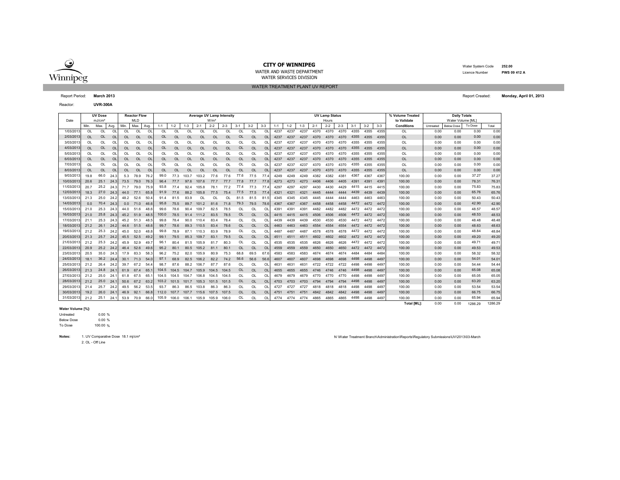

WATER SERVICES DIVISION

 Water System Code **252.00** Licence Number**PWS 09 412 A**

Reactor:**UVR-300A**

|            |      | <b>UV Dose</b>     |                |            | <b>Reactor Flow</b> |               |         |           |         | Average UV Lamp Intensity |                  |           |           |           |               |         |         |         |         | <b>UV Lamp Status</b> |         |         |         |         | % Volume Treated  |           | <b>Daily Totals</b> |         |       |
|------------|------|--------------------|----------------|------------|---------------------|---------------|---------|-----------|---------|---------------------------|------------------|-----------|-----------|-----------|---------------|---------|---------|---------|---------|-----------------------|---------|---------|---------|---------|-------------------|-----------|---------------------|---------|-------|
| Date       |      | mJ/cm <sup>2</sup> |                |            | <b>MLD</b>          |               |         |           |         |                           | W/m <sup>2</sup> |           |           |           |               |         |         |         |         | Hours                 |         |         |         |         | to Validate       |           | Water Volume [ML]   |         |       |
|            | Min. | Max.               | Avg.           | <b>Min</b> | Max                 | Avg.          | $1 - 1$ | $1-2$     | $1 - 3$ | $2 - 1$                   | $2 - 2$          | $2 - 3$   | $3 - 1$   | $3 - 2$   | $3 - 3$       | $1 - 1$ | $1 - 2$ | $1 - 3$ | $2 - 1$ | $2 - 2$               | $2 - 3$ | $3 - 1$ | $3 - 2$ | $3 - 3$ | <b>Conditions</b> | Untreated | Below Dose          | To Dose | Total |
| 1/03/201   | OL   | <b>OL</b>          | OL             | <b>OL</b>  | <b>OL</b>           | <sup>OL</sup> | OL      | $\Omega$  | OL      | OL                        | OL               | OL        | OL        | OL        | OL            | 4237    | 4237    | 4237    | 4370    | 4370                  | 4370    | 4355    | 4355    | 4355    | OL                | 0.00      | 0.00                | 0.00    | 0.00  |
| 2/03/201   | OL   | <b>OL</b>          | <b>OL</b>      | <b>OL</b>  | <b>OL</b>           | <sup>OL</sup> | OL      | $\Omega$  | OL      | <b>OL</b>                 | <b>OL</b>        | OL        | OL        | <b>OL</b> | <sup>OL</sup> | 4237    | 4237    | 4237    | 4370    | 4370                  | 4370    | 4355    | 4355    | 4355    | <b>OL</b>         | 0.00      | 0.00                | 0.00    | 0.00  |
| 3/03/201   | OL   | OL                 | OL             | OL         | OL                  | OL            | OL      | $\Omega$  | OL      | OL                        | $\Omega$         | OL        | OL        | OL        | OL            | 4237    | 4237    | 4237    | 4370    |                       | 4370    | 4355    | 4355    | 4355    | OL                | 0.00      | 0.00                | 0.00    | 0.00  |
| 4/03/201   | OL   | <b>OL</b>          | <b>OL</b>      | <b>OL</b>  | <b>OL</b>           | <b>OL</b>     | OL      | $\Omega$  | OL      | <b>OL</b>                 | $\Omega$         | OL        | <b>OL</b> | <b>OL</b> | OL            | 4237    | 4237    | 4237    | 4370    | 4370                  | 4370    | 4355    | 4355    | 4355    | OL                | 0.00      | 0.00                | 0.00    | 0.00  |
| 5/03/201   | OL   | OL                 | OL             | OL         | OL                  | OL            | OL      | OL        | OL      | OL                        | OL               | OL        | OL        | OL        | OL            | 4237    | 4237    | 4237    | 4370    |                       | 4370    | 4355    | 4355    | 4355    | OL                | 0.00      | 0.00                | 0.00    | 0.00  |
| 6/03/201   | OL   | <b>OL</b>          | O <sub>l</sub> | <b>OL</b>  | <b>OL</b>           | <b>OL</b>     | OL      | <b>OL</b> | OL      | <b>OL</b>                 | <b>OL</b>        | <b>OL</b> | OL        | <b>OL</b> | OL            | 4237    | 4237    | 4237    | 4370    | 4370                  | 4370    | 4355    | 4355    | 4355    | <b>OL</b>         | 0.00      | 0.00                | 0.00    | 0.00  |
| 7/03/201   | OL   | OL                 | $\Omega$       |            | OL                  | O             | OL      | $\Omega$  | OL      | OL                        | OL               | OL        | OL        | $\Omega$  | $\Omega$      | 4237    | 4237    | 4237    | 4370    | 4370                  | 4370    | 4355    | 4355    | 4355    | OL                | 0.00      | 0.00                | 0.00    | 0.00  |
| 8/03/201   | OL   | OL                 | O <sub>l</sub> | <b>OL</b>  | <b>OL</b>           | <b>OL</b>     | OL      | <b>OL</b> | OL      | <b>OL</b>                 | <b>OL</b>        | OL        | OL        | OL        | OL            | 4237    | 4237    | 4237    | 4370    | 4370                  | 4370    | 4355    | 4355    | 4355    | <b>OL</b>         | 0.00      | 0.00                | 0.00    | 0.00  |
| 9/03/201   | 19.8 | 66.0               | 24.3           | 5.3        | 78.9                | 76.2          | 99.0    | 77.3      | 103.7   | 103.2                     | 77.6             | 77.6      | 77.6      | 77.5      | 77.4          | 4249    | 4249    | 4249    | 4382    | 4382                  | 438     | 4367    | 4367    | 4367    | 100.00            | 0.00      | 0.00                | 37.27   | 37.27 |
| 10/03/2013 | 20.6 | 25.1               | 24.3           | 73.5       | 79.0                | 76.3          | 96.4    | 77.7      | 976     | 107.6                     | 77.7             | 77.7      | 77.8      | 77.7      | 77.8          | 4273    | 4273    | 4273    | 4406    | 4406                  | 4405    | 4391    | 4391    | 4391    | 100.00            | 0.00      | 0.00                | 76.31   | 76.31 |
| 11/03/201  | 20.7 | 25.2               | 24.3           | 71.7       | 79.0                | 75.9          | 93.8    | 77.4      | 92.4    | 105.8                     | 78.1             | 77.2      | 77.4      | 77.3      | 77.4          | 4297    | 4297    | 4297    | 4430    | 4430                  | 4429    | 4415    | 4415    | 4415    | 100.00            | 0.00      | 0.00                | 75.83   | 75.83 |
| 12/03/201  | 18.3 | 27.0               | 24.3           | 44.0       | 77.1                | 65.8          | 91.9    | 77.6      | 88.2    | 105.8                     | 77.5             | 75.4      | 77.5      | 77.5      | 77.4          | 4321    | 4321    | 4321    | 4445    | 4444                  | 4444    | 4439    | 4439    | 4439    | 100.00            | 0.00      | 0.00                | 65.76   | 65.76 |
| 13/03/201  | 21.3 | 25.0               | 24.2           | 48.2       | 52.6                | 50.4          | 91.4    | 81.5      | 83.9    | $\Omega$                  |                  | ΩL        | 81.5      | 81.5      | 81.5          | 4345    | 4345    | 4345    | 4445    | 4444                  | 4444    | 4463    | 4463    | 4463    | 100.00            | 0.00      | 0.00                | 50.43   | 50.43 |
| 14/03/201  | 0.0  | 70.4               | 24.3           | 0.0        | 71.0                | - 46.6        | 95.8    | 75.5      | 89.7    | 101.2                     | 81.6             | 71.8      | 79.3      | 79.5      | 78.6          | 4367    | 4367    | 4367    | 4458    | 4458                  | 4458    | 4472    | 4472    | 4472    | 100.00            | 0.00      | 0.00                | 42.90   | 42.90 |
| 15/03/201  | 21.0 | 25.3               | 24.3           | 44.0       | 51.6                | 48.6          | 99.6    | 78.6      | 90.4    | 109.                      | 82.5             | 78.5      | OL        | OL        | OL            | 4391    | 439'    | 4391    | 4482    | 4482                  | 4482    | 4472    | 4472    | 4472    | 100.00            | 0.00      | 0.00                | 48.57   | 48.57 |
| 16/03/2013 | 21.0 | 25.8               | 24.3           | 45.2       | 51.9                | 48.5          | 100.0   | 78.5      | 91.4    | 111.2                     | 83.5             | 78.5      | <b>OL</b> | <b>OL</b> | OL            | 4415    | 4415    | 4415    | 4506    | 4506                  | 4506    | 4472    | 4472    | 4472    | 100.00            | 0.00      | 0.00                | 48.53   | 48.53 |
| 17/03/2013 | 21.1 | 25.3               | 24.3           | 45.2       | 51.3                | 48.5          | 99.8    | 78.4      | 90.0    | 110.4                     | 83.4             | 78.4      | OL        | OL        | OL            | 4439    | 4439    | 4439    | 4530    | 4530                  | 4530    | 4472    | 4472    | 4472    | 100.00            | 0.00      | 0.00                | 48.48   | 48.48 |
| 18/03/2013 | 21.2 | 26.1               | 24.2           | 44.6       | 51.5                | 48.6          | 99.7    | 78.6      | 89.3    | 110.5                     | 83.4             | 78.6      | OL        | <b>OL</b> | OL            | 4463    | 4463    | 4463    | 4554    | 4554                  | 4554    | 4472    | 4472    | 4472    | 100.00            | 0.00      | 0.00                | 48.63   | 48.63 |
| 19/03/201  | 21.2 | 25.3               | 24.2           | 45.0       | 52.0                | 48.8          | 99.8    | 78.9      | 87.1    | 110.3                     | 83.9             | 78.9      | OL        | OL        | OL            | 4487    | 4487    | 4487    | 4578    | 4578                  | 4578    | 4472    | 4472    | 4472    | 100.00            | 0.00      | 0.00                | 48.84   | 48.84 |
| 20/03/2013 | 21.3 | 25.7               | 24.2           | 45.5       | 52.5                | 49.2          | 99.1    | 79.5      | 85.3    | 109.7                     | 83.1             | 79.5      | OL        | <b>OL</b> | $\Omega$      | 4511    | 4511    | 4511    | 4602    | 4602                  | 4602    | 4472    | 4472    | 4472    | 100.00            | 0.00      | 0.00                | 49.20   | 49.20 |
| 21/03/2013 | 21.2 | 25.3               | 24.2           | 45.9       | 52.9                | 49.7          | 96.1    | 80.4      | 81.5    | 105.9                     | 81.7             | 80.3      | OL        | OL        | OL            | 4535    | 4535    | 4535    | 4626    | 4626                  | 4626    | 4472    | 4472    | 4472    | 100.00            | 0.00      | 0.00                | 49.71   | 49.71 |
| 22/03/2013 | 20.9 | 25.2               | 24.2           | 46.4       | 52.6                | 49.6          | 95.2    | 80.1      | 80.5    | 105.2                     | 81.1             | 80.1      | <b>OL</b> | <b>OL</b> | <b>OL</b>     | 4559    | 4559    | 4559    | 4650    | 4650                  | 4650    | 4472    | 4472    | 4472    | 100.00            | 0.00      | 0.00                | 49.53   | 49.53 |
| 23/03/2013 | 20.5 | 35.0               | 24.3           | 17.9       | 83.3                | 58.3          | 96.2    | 75.2      | 82.0    | 105.9                     | 80.9             | 75.3      | 68.8      | 69.5      | 67.6          | 4583    | 4583    | 4583    | 4674    | 4674                  | 4674    | 4484    | 4484    | 4484    | 100.00            | 0.00      | 0.00                | 58.32   | 58.32 |
| 24/03/2013 | 18.1 | 36.2               | 24.4           | 30.1       | 71.3                | 54.0          | 97.1    | 68.9      | 82.5    | 106.2                     | 82.2             | 74.2      | 56.6      | 56.6      | 56.6          | 4607    | 4607    | 4607    | 4698    | 4698                  | 4698    | 4498    | 4498    | 4497    | 100.00            | 0.00      | 0.00                | 54.01   | 54.01 |
| 25/03/2013 | 21.2 | 26.4               | 24.2           | 39.7       | 67.2                | 54.4          | 98.7    | 87.6      | 88.2    | 106.7                     | 87.7             | 87.6      | OL        | OL        | OL            | 4631    | 463'    | 4631    | 4722    | 4722                  | 4722    | 4498    | 4498    | 4497    | 100.00            | 0.00      | 0.00                | 54.44   | 54.44 |
| 26/03/2013 | 21.3 | 24.8               | 24.            | 61.9       | 67.4                | 65.           | 104.5   | 104.5     | 104.7   | 105.9                     | 104.5            | 104.5     | <b>OL</b> | <b>OL</b> | $\Omega$      | 4655    | 4655    | 4655    | 4746    | 4746                  | 4746    | 4498    | 4498    | 4497    | 100.00            | 0.00      | 0.00                | 65.08   | 65.08 |
| 27/03/2013 | 21.2 | 25.0               | 24.            | 61.8       | 67.5                | 65.           | 104.5   | 104.5     | 104.7   | 106.8                     | 104.5            | 104.5     | OL        | OL        | OL            | 4679    | 4679    | 4679    | 4770    |                       | 4770    | 4498    | 4498    | 4497    | 100.00            | 0.00      | 0.00                | 65.05   | 65.05 |
| 28/03/2013 | 21.2 | 25.0               | 24.7           | 50.6       | 67.2                | 63.2          | 103.2   | 101.5     | 101.7   | 105.3                     | 101.5            | 101.5     | <b>OL</b> | <b>OL</b> | OL            | 4703    | 4703    | 4703    | 4794    | 4794                  | 4794    | 4498    | 4498    | 4497    | 100.00            | 0.00      | 0.00                | 63.20   | 63.20 |
| 29/03/2013 | 21.4 | 25.7               | 24.2           | 49.5       | 56.2                | 53.5          | 93.7    | 86.3      | 86.5    | 103.8                     | 86.3             | 86.3      | OL        | OL        | $\Omega$      | 4727    | 4727    | 4727    | 4818    | 4818                  | 4818    | 4498    | 4498    | 4497    | 100.00            | 0.00      | 0.00                | 53.54   | 53.54 |
| 30/03/2013 | 19.2 | 26.0               | 24.7           | 46.9       | 92.1                | 66.8          | 112.0   | 107.7     | 107.7   | 115.6                     | 107.5            | 107.5     | <b>OL</b> | <b>OL</b> | OL            | 4751    | 4751    | 4751    | 4842    | 4842                  | 4842    | 4498    | 4498    | 4497    | 100.00            | 0.00      | 0.00                | 66.75   | 66.75 |
| 31/03/2013 | 21.2 | 25.1               | 24.1           | 53.9       | 70.9                | 66.0          | 105.9   | 106.0     | 106.1   | 105.9                     | 105.9            | 106.0     | OL        | $\Omega$  | $\Omega$      | 4774    | 4774    | 4774    | 4865    | 4865                  | 4865    | 4498    | 4498    | 4497    | 100.00            | 0.00      | 0.00                | 65.94   | 65.94 |

#### **Water Volume [%]:**

% 0.00 e 0.00 % To DoseBelow DoseUntreated

e 100.00 %

**Notes:**2. OL - Off Line

1. UV Comparative Dose 18.1 mj/cm² <sup>N</sup> \Water Treatment Branch\Administration\Reports\Regulatory Submissions\UV\2013\03-March

**Total [ML]:** 0.00 0.00 1286.29 1286.29

Report Period: **March 2013** Report Created: **Monday, April 01, 2013**

WATER AND WASTE DEPARTMENT

WATER TREATMENT PLANT UV REPORT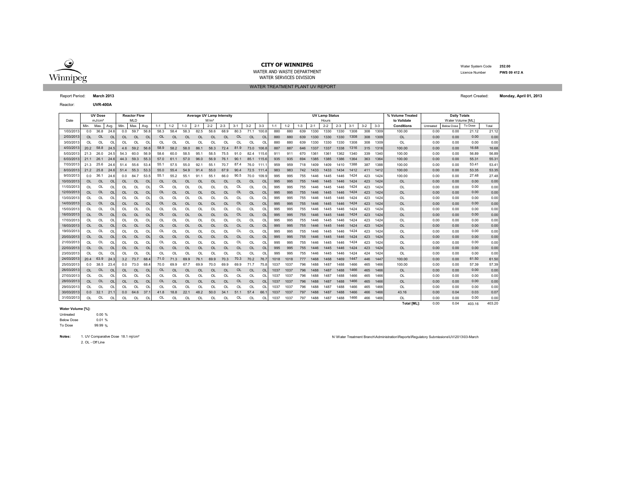

WATER AND WASTE DEPARTMENTWATER SERVICES DIVISION

WATER TREATMENT PLANT UV REPORT

 Water System Code **252.00** Licence Number**PWS 09 412 A**

Report Period: **March 2013** Report Created: **Monday, April 01, 2013**

Reactor:**UVR-400A**

|            |           | <b>UV Dose</b>     |                |           | <b>Reactor Flow</b> |                | <b>Average UV Lamp Intensity</b> |          |           |           |                  |           |           |           |                |         |         |         |         | <b>UV Lamp Status</b> |         |         |         | % Volume Treated | <b>Daily Totals</b> |                   |                   |         |        |
|------------|-----------|--------------------|----------------|-----------|---------------------|----------------|----------------------------------|----------|-----------|-----------|------------------|-----------|-----------|-----------|----------------|---------|---------|---------|---------|-----------------------|---------|---------|---------|------------------|---------------------|-------------------|-------------------|---------|--------|
| Date       |           | mJ/cm <sup>2</sup> |                |           | <b>MLD</b>          |                |                                  |          |           |           | W/m <sup>2</sup> |           |           |           |                |         | Hours   |         |         |                       |         |         |         |                  | to Validate         | Water Volume [ML] |                   |         |        |
|            | Min.      | Max.               | Avg.           | Min       | Max.                | Avg.           | $1 - 1$                          | $1 - 2$  | $1 - 3$   | $2 - 1$   | $2 - 2$          | $2 - 3$   | $3 - 1$   | $3 - 2$   | $3 - 3$        | $1 - 1$ | $1 - 2$ | $1 - 3$ | $2 - 1$ | $2 - 2$               | $2 - 3$ | $3 - 1$ | $3 - 2$ | $3 - 3$          | Conditions          | Untreated         | <b>Below Dose</b> | To Dose | Total  |
| 1/03/201   | 0.0       | 36.8               | 24.6           | 0.0       | 59.7                | 56.8           | 58.3                             | 58.4     | 58.3      | 82.5      | 58.6             | 68.9      | 80.3      | 71.1      | 100.8          | 880     | 880     | 639     | 1330    | 1330                  | 1330    | 1308    | 308     | 1309             | 100.00              | 0.00              | 0.00              | 21.12   | 21.12  |
| 2/03/2013  | OL.       | <b>OL</b>          | $\Omega$       | OL.       | <b>OL</b>           | <b>OL</b>      | OL                               | $\Omega$ | <b>OL</b> | <b>OL</b> | <b>OL</b>        | OL        | <b>OL</b> | <b>OL</b> | $\Omega$       | 880     | 880     | 639     | 1330    | 1330                  | 1330    | 1308    | 308     | 1309             | <b>OL</b>           | 0.00              | 0.00              | 0.00    | 0.00   |
| 3/03/2013  | OL        | OL                 | OL             | OL        | OL                  | OL             | OL                               | OL       | OL        | OL        | OL               | OL        | OL        | OL        | O              | 880     | 880     | 639     | 1330    | 1330                  | 1330    | 1308    | 308     | 1309             | OL                  | 0.00              | 0.00              | 0.00    | 0.00   |
| 4/03/2013  | 20.2      | 58.8               | 24.5           | 4.6       | 59.2                | 56.6           | 58.9                             | 58.2     | 58.0      | 86.1      | 58.3             | 72.4      | 81.9      | 73.0      | 106.8          | 887     | 887     | 646     | 1337    | 1337                  | 1338    | 1316    | 315     | 1316             | 100.00              | 0.00              | 0.00              | 16.68   | 16.68  |
| 5/03/2013  | 21.3      | 26.0               | 24.5           | 54.3      | 60.0                | 56.9           | 58.6                             | 60.0     | 58.5      | 95.1      | 58.5             | 75.5      | 91.0      | 82.4      | 115.6          | 911     | 911     | 670     | 1361    | 1361                  | 1362    | 1340    | 339     | 1340             | 100.00              | 0.00              | 0.00              | 56.89   | 56.89  |
| 6/03/2013  | 21.1      | 26.1               | 24.6           | 44.3      | 59.3                | 55.3           | 57.0                             | 61.1     | 57.0      | 96.0      | 56.9             | 76.1      | 90.1      | 85.1      | 115.6          | 935     | 935     | 694     | 1385    | 1385                  | 1386    | 1364    | 363     | 1364             | 100.00              | 0.00              | 0.00              | 55.31   | 55.31  |
| 7/03/201   | 21.3      | 25.6               | 24.6           | 51.4      | 55.6                | 53.4           | 55.1                             | 57.5     | 55.0      | 92.1      | 55.1             | 70.7      | 87.4      | 76.0      | 111.           | 959     | 959     | 718     | 1409    | 1409                  | 1410    | 1388    | 387     | 1388             | 100.00              | 0.00              | 0.00              | 53.41   | 53.41  |
| 8/03/201   | 21.2 25.8 |                    | 24.6           | 51.4      | 55.3                | 53.3           | 55.0                             | 55.4     | 54.9      | 91.4      | 55.0             | 67.9      | 90.4      | 72.5      | 111.4          | 983     | 983     | 742     | 1433    | 1433                  | 1434    | 1412    | 411     | 1412             | 100.00              | 0.00              | 0.00              | 53.35   | 53.35  |
| 9/03/201   | 0.0       | 36.                | 24.6           | 0.0       | 84.                 | 53.5           | 55.1                             | 55.2     | 55.1      | 91.1      | 55.              | 66.0      | 90.5      | 70.0      | 109.9          | 995     | 995     | 755     | 1446    | 1445                  | 1446    | 1424    | 423     | 1424             | 100.00              | 0.00              | 0.00              | 27.48   | 27.48  |
| 10/03/2013 | OL.       | <b>OL</b>          | <b>OL</b>      | OL        | <b>OL</b>           | <b>OL</b>      | <b>OL</b>                        | $\Omega$ | <b>OL</b> | <b>OL</b> | OL               | <b>OL</b> | <b>OL</b> | <b>OL</b> | O <sub>l</sub> | 995     | 995     | 755     | 1446    | 1445                  | 1446    | 1424    | 423     | 1424             | <b>OL</b>           | 0.00              | 0.00              | 0.00    | 0.00   |
| 11/03/2013 | OL        | OL                 | OL             | OL        | OL                  | OL             | OL                               | OL       | OL        | OL        | OL               | OL        | OL        | OL        | Ol             | 995     | 995     | 755     | 1446    | 1445                  | 1446    | 1424    | 423     | 1424             | OL                  | 0.00              | 0.00              | 0.00    | 0.00   |
| 12/03/2013 | OL.       | OL                 | <b>OL</b>      | OL        | <b>OL</b>           | OL             | <b>OL</b>                        | $\Omega$ | OL        | OL        | OL               | OL        | <b>OL</b> | <b>OL</b> | O <sub>L</sub> | 995     | 995     | 755     | 1446    | 1445                  | 1446    | 1424    | 423     | 1424             | <b>OL</b>           | 0.00              | 0.00              | 0.00    | 0.00   |
| 13/03/2013 | OL        | OL                 | OL             | OL        | OL                  | OL             | $\Omega$                         | OL       | OL        | <b>OL</b> | OL               | OL        | OL        | OL        | O              | 995     | 995     | 755     | 1446    | 1445                  | 1446    | 1424    | 423     | 1424             | OL                  | 0.00              | 0.00              | 0.00    | 0.00   |
| 14/03/2013 | OL.       | <b>OL</b>          | OL             | OL        | <b>OL</b>           | O <sub>l</sub> | <b>OL</b>                        | OL       | OL        | OL        | OL               | OL        | <b>OL</b> | <b>OL</b> | O <sub>l</sub> | 995     | 995     | 755     | 1446    | 1445                  | 1446    | 1424    | 423     | 1424             | OL                  | 0.00              | 0.00              | 0.00    | 0.00   |
| 15/03/201  | OL        | OL                 | O              |           | OL                  | Ol             | OL                               | OL       | OL        | OL        | OL               | OL        | OL        | OL        | O              | 995     | 995     | 755     | 1446    | 1445                  | 1446    | 1424    | 423     | 1424             | OL                  | 0.00              | 0.00              | 0.00    | 0.00   |
| 16/03/2013 | OL.       | <b>OL</b>          | OL             | OL        | <b>OL</b>           | OL             | OL                               | OL       | OL        | <b>OL</b> | <b>OL</b>        | OL        | <b>OL</b> | <b>OL</b> | O <sub>l</sub> | 995     | 995     | 755     | 1446    | 1445                  | 1446    | 1424    | 423     | 1424             | <b>OL</b>           | 0.00              | 0.00              | 0.00    | 0.00   |
| 17/03/2013 | OL        | OL                 | OL             | OL        | OL                  | OL             | OL                               | Ōl       | OL        | OL        | OL               | OL        | OL        | OL        | O              | 995     | 995     | 755     | 1446    | 1445                  | 1446    | 1424    | 423     | 1424             | OL                  | 0.00              | 0.00              | 0.00    | 0.00   |
| 18/03/2013 | OL.       | <b>OL</b>          | OL             | <b>OL</b> | <b>OL</b>           | O <sub>l</sub> | OL                               | $\Omega$ | OL        | <b>OL</b> | <b>OL</b>        | <b>OL</b> | <b>OL</b> | $\Omega$  | OL             | 995     | 995     | 755     | 1446    | 1445                  | 1446    | 1424    | 423     | 1424             | <b>OL</b>           | 0.00              | 0.00              | 0.00    | 0.00   |
| 19/03/2013 | OL        | OL                 | OL             | OL        | OL                  | OL             | OL                               | OL       | OL        | <b>OL</b> | OL               | OL        | OL        | OL        | O              | 995     | 995     | 755     | 1446    | 1445                  | 1446    | 1424    | 423     | 1424             | OL                  | 0.00              | 0.00              | 0.00    | 0.00   |
| 20/03/2013 | <b>OL</b> | <b>OL</b>          | OL             | <b>OL</b> | <b>OL</b>           | OL             | <b>OL</b>                        | $\Omega$ | OL        | OL        | <b>OL</b>        | OL        | OL        | OL        | OL             | 995     | 995     | 755     | 1446    | 1445                  | 1446    | 1424    | 423     | 1424             | <b>OL</b>           | 0.00              | 0.00              | 0.00    | 0.00   |
| 21/03/201  | OL        | OL                 | O              | OL        | OL                  | $\Omega$       | OL                               | OL       | OL        | OL        | OL               | OL        | OL        | OL        | O              | 995     | 995     | 755     | 1446    | 1445                  | 1446    | 1424    | 423     | 1424             | OL                  | 0.00              | 0.00              | 0.00    | 0.00   |
| 22/03/2013 | OL        | <b>OL</b>          | $\overline{O}$ |           | OL                  | O <sub>l</sub> | <b>OL</b>                        | OL       | OL        | OL        | OL               | OL        | OL        | <b>OL</b> | O <sub>l</sub> | 995     | 995     | 755     | 1446    | 1445                  | 1446    | 1424    | 423     | 1424             | <b>OL</b>           | 0.00              | 0.00              | 0.00    | 0.00   |
| 23/03/201  | OL        | OL                 | OL             | OL        | OL                  | OL             | OL                               | ΩI       | OL        | OL        | OL               | OL        | OL        | OL        | $\Omega$       | 995     | 995     | 755     | 1446    | 1445                  | 1446    | 1424    | 424     | 1424             | OL                  | 0.00              | 0.00              | 0.00    | 0.00   |
| 24/03/2013 | 20.4      | 63.9               | 24.3           | 3.2       | 73.7                | 68.4           | 71.0                             | 71.3     | 69.9      | 76.1      | 69.9             | 70.3      | 70.3      | 70.2      | 76.            | 1018    | 1018    | 777     | 1468    | 1468                  | 1469    | 1447    | 446     | 1447             | 100.00              | 0.00              | 0.00              | 61.50   | 61.50  |
| 25/03/201  | 0.0       | 38.5               | 23.4           | 0.0       | 73.0                | 68.4           | 70.0                             | 69.9     | 67.7      | 69.9      | 70.0             | 69.9      | 69.9      | 71.7      | 75.8           | 1037    | 1037    | 796     | 1488    | 1487                  | 1488    | 1466    | 465     | 1466             | 100.00              | 0.00              | 0.00              | 57.39   | 57.39  |
| 26/03/2013 | OL.       | <b>OL</b>          | <b>OL</b>      | OL        | <b>OL</b>           | <b>OL</b>      | OL                               | $\Omega$ | OL        | OL        | OL               | OL        | OL        | OL        | $\Omega$       | 1037    | 1037    | 796     | 1488    | 1487                  | 1488    | 1466    | 465     | 1466             | <b>OL</b>           | 0.00              | 0.00              | 0.00    | 0.00   |
| 27/03/201  | OL        | OL                 | O              | OL        | OL                  | Ol             | OL                               | വ        | OL        | OL        | OL               | OL        | OL        | OL        | O              | 1037    | 1037    | 796     | 1488    | 1487                  | 1488    | 1466    | 465     | 1466             | OL                  | 0.00              | 0.00              | 0.00    | 0.00   |
| 28/03/201  | OL.       | <b>OL</b>          | $\Omega$       | OL        | <b>OL</b>           | O <sub>l</sub> | OL                               | $\Omega$ | OL        | OL        | <b>OL</b>        | OL        | <b>OL</b> | <b>OL</b> | O <sub>l</sub> | 1037    | 1037    | 796     | 1488    | 1487                  | 1488    | 1466    | 465     | 1466             | <b>OL</b>           | 0.00              | 0.00              | 0.00    | 0.00   |
| 29/03/201  | OL        | OL                 | O              | OL        | OL                  | O              | OL                               | OL       | OL        | OL        | OL               | OI        | OL        | OL        | O              | 1037    | 1037    | 796     | 1488    | 1487                  | 1488    | 1466    | 465     | 1466             | OL                  | 0.00              | 0.00              | 0.00    | 0.00   |
| 30/03/2013 | 0.0       | 32.1               | 21.1           | 0.0       | 64.6                | 37.1           | 41.8                             | 18.8     | 22.1      | 48.2      | 50.0             | 34.1      | 51.1      | 57.4      | 66.            | 1037    | 1037    | 797     | 1488    | 1487                  | 1488    | 1466    | 466     | 1466             | 43.16               | 0.00              | 0.04              | 0.03    | 0.07   |
| 31/03/201  | OL        | OL                 | Ω              | OL        | OL                  | Ω              | OL                               | OL       | OL        | OL        | OL               | OL        | OL        | OL        | O              | 1037    | 1037    | 797     | 1488    | 1487                  | 1488    | 1466    | 466     | 1466             | OL                  | 0.00              | 0.00              | 0.00    | 0.00   |
|            |           |                    |                |           |                     |                |                                  |          |           |           |                  |           |           |           |                |         |         |         |         |                       |         |         |         |                  | <b>Total IMLI:</b>  | 0.00              | 0.04              | 403.16  | 403.20 |

### **Water Volume [%]:**

% 0.00 e 0.01 % Below DoseUntreated

e 99.99 % To Dose

Notes: 1. UV Comparative Dose 18.1 mj/cm<sup>2</sup>

2. OL - Off Line

N \Water Treatment Branch\Administration\Reports\Regulatory Submissions\UV\2013\03-March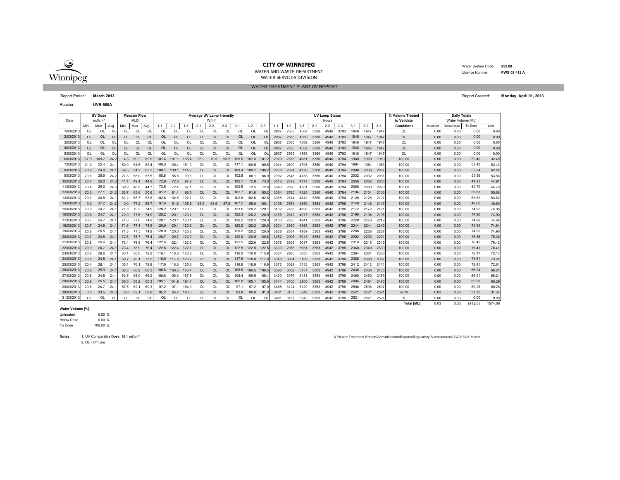

WATER AND WASTE DEPARTMENTWATER SERVICES DIVISION

WATER TREATMENT PLANT UV REPORT

 Water System Code **252.00** Licence Number**PWS 09 412 A**

Reactor:**UVR-500A**

|            |           | <b>UV Dose</b>     |           |           | <b>Reactor Flow</b> |           |           |           |           | Average UV Lamp Intensity |                  |          |                |           |           |         |         |         |         | <b>UV Lamp Status</b> |         |         |         | % Volume Treated | <b>Daily Totals</b> |           |                   |         |       |
|------------|-----------|--------------------|-----------|-----------|---------------------|-----------|-----------|-----------|-----------|---------------------------|------------------|----------|----------------|-----------|-----------|---------|---------|---------|---------|-----------------------|---------|---------|---------|------------------|---------------------|-----------|-------------------|---------|-------|
| Date       |           | mJ/cm <sup>2</sup> |           |           | <b>MLD</b>          |           |           |           |           |                           | W/m <sup>2</sup> |          |                |           |           |         |         |         |         | Hours                 |         |         |         |                  | to Validate         |           | Water Volume [ML] |         |       |
|            | Min.      | Max.               | Ava.      | Min.      | Max                 | Avg.      | $1 - 1$   | $1 - 2$   | $1 - 3$   | $2 - 1$                   | $2 - 2$          | $2 - 3$  | $3 - 1$        | $3 - 2$   | $3 - 3$   | $1 - 1$ | $1 - 2$ | $1 - 3$ | $2 - 1$ | $2 - 2$               | $2 - 3$ | $3 - 1$ | $3 - 2$ | $3 - 3$          | <b>Conditions</b>   | Untreated | <b>Below Dose</b> | To Dose | Total |
| 1/03/201   | $\Omega$  | <b>OL</b>          | OL        | <b>OL</b> | OL                  | <b>OL</b> | <b>OL</b> | OL        | <b>OL</b> | $\Omega$                  | $\Omega$         | OL       | O <sub>L</sub> | OL        | $\Omega$  | 2907    | 2563    | 4669    | 3360    | 4940                  | 3793    | 1948    | 1947    | 1947             | OL                  | 0.00      | 0.00              | 0.00    | 0.00  |
| 2/03/201   | $\Omega$  | <b>OL</b>          | $\Omega$  | <b>OL</b> | OL                  | OL        | OL        | OL        | <b>OL</b> | $\Omega$                  | OL               | $\Omega$ | OL             | OL        | $\Omega$  | 2907    | 2563    | 4669    | 3360    | 4940                  | 3793    | 1948    | 1947    | 1947             | <b>OL</b>           | 0.00      | 0.00              | 0.00    | 0.00  |
| 3/03/201   | OL        | OL                 | OL        | OL        | OL                  | OL        | OL        | OL        | OL        | OL                        | OL               | $\Omega$ | OL             | OL        | $\Omega$  | 2907    | 2563    | 4669    | 3360    | 4940                  | 3793    | 1948    | 1947    | 1947             | OL                  | 0.00      | 0.00              | 0.00    | 0.00  |
| 4/03/2013  | <b>OL</b> | <b>OL</b>          | <b>OL</b> | <b>OL</b> | <b>OL</b>           | OL        | <b>OL</b> | OL        | <b>OL</b> | <b>OL</b>                 | <b>OL</b>        | OL       | OL             | <b>OL</b> | <b>OL</b> | 2907    | 2563    | 4669    | 3360    | 4940                  | 3793    | 1948    | 1947    | 1947             | <b>OL</b>           | 0.00      | 0.00              | 0.00    | 0.00  |
| 5/03/201   | $\Omega$  | $\Omega$           | $\Omega$  | $\Omega$  | $\Omega$            | OL        | $\Omega$  | $\Omega$  | $\Omega$  | $\Omega$                  | $\Omega$         | 0I       | $\Omega$       | $\Omega$  | $\Omega$  | 2907    | 2563    | 4669    | 3360    | 4940                  | 3793    | 1948    | 1947    | 1947             | <b>OL</b>           | 0.00      | 0.00              | 0.00    | 0.00  |
| 6/03/201   | 17.9      | 109.7              | 24.2      | 4.3       | 69.2                | 62.9      | 101.4     | 101.1     | 195.4     | 96.2                      | 79.5             | 95.2     | 125.5          | 101.0     | 101.2     | 2920    | 2576    | 468'    | 3360    | 4940                  | 3794    | 1960    | 1960    | 1959             | 100.00              | 0.00      | 0.00              | 32.49   | 32.49 |
| 7/03/201   | 21.0      | 25.4               | 24.       | 60.0      | 64.5                | 62.       | 100.5     | 100.4     | 151.0     | OL                        | OL               | ЮL       | 117.1          | 100.5     | 100.      | 2944    | 2600    | 4705    | 3360    | 4940                  | 3794    | 1984    | 1984    | 1983             | 100.00              | 0.00      | 0.00              | 62.43   | 62.43 |
| 8/03/2013  | 20.9      | 24.9               | 24.       | 59.5      | 64.2                | 62.2      | 100.1     | 100.1     | 114.2     | <b>OL</b>                 | OL               | OL.      | 108.4          | 100.1     | 100.2     | 2968    | 2624    | 4729    | 3360    | 4940                  | 3794    | 2008    | 2008    | 2007             | 100.00              | 0.00      | 0.00              | 62.24   | 62.24 |
| 9/03/201   | 20.6      | 28.6               | 24.2      | 27.3      | 66.0                | 53.5      | 85.8      | 85.8      | 99.6      | OL                        | OL               | ΩL       | 102.8          | 86.1      | 86.9      | 2992    | 2648    | 4753    | 3360    | 4940                  | 3794    | 2032    | 2032    | 203'             | 100.00              | 0.00      | 0.00              | 53.56   | 53.56 |
| 10/03/201  | 20.4      | 26.0               | 24.3      | 41.1      | 49.4                | -44.9     | 72.9      | 72.8      | 97.9      | <b>OL</b>                 | OL               | ΩL       | 100.7          | 72.9      | 73.0      | 3016    | 2672    | 4777    | 3360    | 4940                  | 3794    | 2056    | 2056    | 2055             | 100.00              | 0.00      | 0.00              | 44.91   | 44.91 |
| 11/03/201  | 20.4      | 26.0               | 24.3      | 39.9      | 48.9                | -44.      | 72.5      | 72.4      | 97.7      | OL                        | OL               | OL       | 100.5          | 72.5      | 72.8      | 3040    | 2696    | 480     | 3360    | 4940                  | 3794    | 2080    | 2080    | 2079             | 100.00              | 0.00      | 0.00              | 44.70   | 44.70 |
| 12/03/2013 | 20.0      | 27.1               | 24.2      | 26.7      | 65.6                | 50.6      | 81.2      | 81.4      | 98.5      | <b>OL</b>                 | OL               | n.       | 102.7          | 81.6      | 85.2      | 3064    | 2720    | 4825    | 3360    | 4940                  | 3794    | 2104    | 2104    | 2103             | 100.00              | 0.00      | 0.00              | 50.68   | 50.68 |
| 13/03/2013 | 20.7      | 24.8               | 24.7      | 61.2      | 65.7                | 63.8      | 102.6     | 102.5     | 102.7     | OL                        | OL               | ΩL       | 102.8          | 102.6     | 102.      | 3088    | 2744    | 4849    | 3360    | 4940                  | 3794    | 2128    | 2128    | 2127             | 100.00              | 0.00      | 0.00              | 63.82   | 63.82 |
| 14/03/2013 | 0.0       | 37.2               | 24.2      | 0.0       | 77.2                | 58.       | 97.6      | 91.8      | 105.5     | 68.9                      | 63.6             | 57.9     | 107.5          | 99.0      | 100       | 3108    | 2764    | 4869    | 3363    | 4942                  | 3796    | 2148    | 2148    | 2147             | 100.00              | 0.00      | 0.00              | 48.60   | 48.60 |
| 15/03/2013 | 20.9      | 24.7               | 24.7      | 71.3      | 79.2                | 74.9      | 120.2     | 120.1     | 120.3     | OL                        | OL               | OL       | 123.5          | 120.2     | 120       | 3132    | 2788    | 4893    | 3363    | 4942                  | 3796    | 2172    | 2172    | 2171             | 100.00              | 0.00      | 0.00              | 74.95   | 74.95 |
| 16/03/2013 | 20.8      | 24.7               | 24.7      | 72.0      | 77.6                | 74.9      | 120.2     | 120.1     | 120.2     | <b>OL</b>                 | <b>OL</b>        | $\Omega$ | 122.3          | 120.2     | 120.0     | 3156    | 2812    | 4917    | 3363    | 4942                  | 3796    | 2196    | 2196    | 2195             | 100.00              | 0.00      | 0.00              | 74.90   | 74.90 |
| 17/03/201  | 20.7      | 24.7               | 24.       | 71.6      | 77.6                | 74.9      | 120.1     | 120.1     | 120.7     | OL                        | OL               | ЮL       | 120.2          | 120.2     | 120.      | 3180    | 2836    | 494     | 3363    | 4942                  | 3796    | 2220    | 2220    | 2219             | 100.00              | 0.00      | 0.00              | 74.88   | 74.88 |
| 18/03/201  | 20.7      | 24.8               | 24.       | 71.6      | 77.4                | 74.9      | 120.0     | 120.1     | 120.2     | <b>OL</b>                 | OL               | OL       | 120.2          | 120.2     | 120.      | 3204    | 2860    | 4965    | 3363    | 4942                  | 3796    | 2244    | 2244    | 2243             | 100.00              | 0.00      | 0.00              | 74.94   | 74.94 |
| 19/03/201  | 20.8      | 26.5               | 24.       | 71.8      | 77.5                | 74.9      | 120.0     | 120.0     | 120.2     | OL                        | OL               |          | 120.2          | 120.2     | 120.      | 3228    | 2884    | 4989    | 3363    | 4942                  | 3796    | 2268    | 2268    | 2267             | 100.00              | 0.00      | 0.00              | 74.90   | 74.90 |
| 20/03/2013 | 20.7      | 24.8               | 24.7      | 72.6      | 78.7                | 75.4      | 120.7     | 120.7     | 120.9     | <b>OL</b>                 | <b>OL</b>        | ΩL       | 120.9          | 120.9     | 120.      | 3252    | 2908    | 5013    | 3363    | 4942                  | 3796    | 2292    | 2292    | 229'             | 100.00              | 0.00      | 0.00              | 75.36   | 75.36 |
| 21/03/201  | 20.8      | 26.6               | 24.       | 73.4      | 78.9                | 76.4      | 122.6     | 122.4     | 122.6     | OL                        | OL               | ΩL       | 122.5          | 1226      | 122.5     | 3276    | 2932    | 5037    | 3363    | 4942                  | 3796    | 2316    | 2316    | 2315             | 100.00              | 0.00      | 0.00              | 76.42   | 76.42 |
| 22/03/201  | 20.9      | 24.7               | 24.       | 73.4      | 78.9                | 76.4      | 122.6     | 122.4     | 122.7     | <b>OL</b>                 | <b>OL</b>        | OL       | 122.5          | 122.5     | 122.5     | 3300    | 2956    | 506'    | 3363    | 4942                  | 3796    | 2340    | 2340    | 2339             | 100.00              | 0.00      | 0.00              | 76.41   | 76.41 |
| 23/03/201  | 20.8      | 29.6               | 24.       | 33.1      | 80.0                | 72.       | 116.1     | 116.0     | 120.8     | OL                        | OL               | ΩL       | 116.0          | 116.0     | 115.9     | 3324    | 2980    | 5085    | 3363    | 4942                  | 3796    | 2364    | 2364    | 2363             | 100.00              | 0.00      | 0.00              | 72.17   | 72.17 |
| 24/03/201  | 20.8      | 24.8               | 24.       | 58.7      | 76.1                | 73.5      | 118.0     | 117.8     | 120.7     | <b>OL</b>                 | OL               | n.       | 117.9          | 118.0     | 117.9     | 3348    | 3004    | 5109    | 3363    | 4942                  | 3796    | 2388    | 2388    | 2387             | 100.00              | 0.00      | 0.00              | 73.51   | 73.51 |
| 25/03/201  | 20.4      | 28.1               | 24.7      | 35.1      | 76.1                | 72.8      | 117.0     | 116.8     | 125.3     | OL                        | OL               |          | 116.9          | 116.9     | 116.      | 3372    | 3028    | 5133    | 3363    | 4942                  | 3796    | 2412    | 2412    | 241'             | 100.00              | 0.00      | 0.00              | 72.81   | 72.81 |
| 26/03/2013 | 20.8      | 25.9               | 24.7      | 62.8      | 68.2                | 66.       | 106.6     | 106.5     | 166.4     | <b>OL</b>                 | <b>OL</b>        | $\Omega$ | 106.5          | 106.5     | 106.      | 3396    | 3052    | 5157    | 3363    | 4942                  | 3796    | 2436    | 2436    | 2435             | 100.00              | 0.00      | 0.00              | 66.24   | 66.24 |
| 27/03/201  | 20.8      | 24.8               | 24.7      | 62.5      | 68.0                | 66.2      | 106.6     | 106.3     | 187.8     | $\Omega$                  | $\Omega$         | 0L       | 106.4          | 106.5     | 106.      | 3420    | 3076    | 5181    | 3363    | 4942                  | 3796    | 2460    | 2460    | 2459             | 100.00              | 0.00      | 0.00              | 66.21   | 66.21 |
| 28/03/201  | 20.8      | 25.5               | 24.7      | 58.0      | 68.2                | 65.3      | 105.1     | 104.9     | 194.4     | <b>OL</b>                 | <b>OL</b>        | $\Omega$ | 105.0          | 105.1     | 105.0     | 3444    | 3100    | 5205    | 3363    | 4942                  | 3796    | 2484    | 2484    | 2483             | 100.00              | 0.00      | 0.00              | 65.29   | 65.29 |
| 29/03/201  | 20.8      | 24.7               | 24.       | 57.5      | 62.1                | 60.       | 97.2      | 97.1      | 184.9     | OL                        | OL               | ЮI       | 97.1           | 97.2      | 97        | 3468    | 3124    | 5229    | 3363    | 4942                  | 3796    | 2508    | 2508    | 2507             | 100.00              | 0.00      | 0.00              | 60.28   | 60.28 |
| 30/03/2013 | 0.0       | 33.5               | 24.3      | 0.0       | 62.1                | 52.9      | 95.2      | 85.2      | 193.5     | <b>OL</b>                 | OL               | OL       | 93.8           | 90.8      | 91.0      | 3481    | 3137    | 5242    | 3363    | 4942                  | 3796    | 2521    | 2521    | 2521             | 99.79               | 0.03      | 0.03              | 31.30   | 31.37 |
| 31/03/2013 | OL        | OL                 | OL        | OL        | OL                  | OL        | OL        | <b>OL</b> | OL        | OL                        | OL               | OL       | OL             | OL        | OL        | 3481    | 3137    | 5242    | 3363    | 4942                  | 3796    | 2521    | 2521    | 2521             | OL                  | 0.00      | 0.00              | 0.00    | 0.00  |

#### **Water Volume [%]:**

% 0.00 e 0.00 % Below DoseUntreated

e 100.00 % To Dose

Notes: 1. UV Comparative Dose 18.1 mj/cm<sup>2</sup>

2. OL - Off Line

N \Water Treatment Branch\Administration\Reports\Regulatory Submissions\UV\2013\03-March

**Total [ML]:** 0.03 0.03 1574.08 1574.01

Report Period: **March 2013** Report Created: **Monday, April 01, 2013**